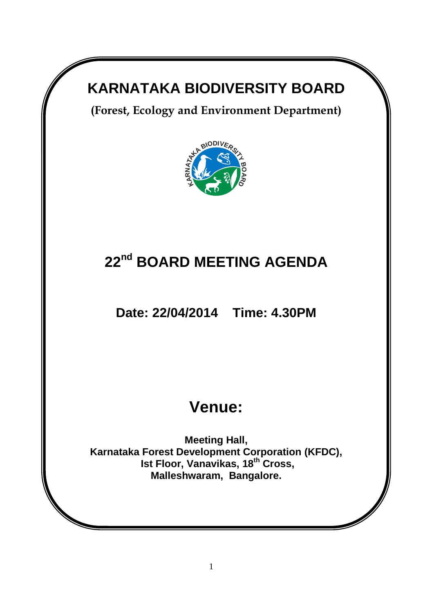# **KARNATAKA BIODIVERSITY BOARD**

**(Forest, Ecology and Environment Department)** 



# **22nd BOARD MEETING AGENDA**

**Date: 22/04/2014 Time: 4.30PM**

# **Venue:**

**Meeting Hall, Karnataka Forest Development Corporation (KFDC), Ist Floor, Vanavikas, 18th Cross, Malleshwaram, Bangalore.**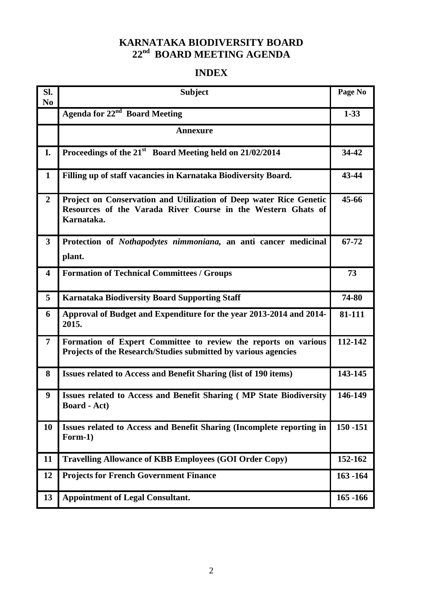# **KARNATAKA BIODIVERSITY BOARD 22 nd BOARD MEETING AGENDA**

# **INDEX**

| Sl.<br>N <sub>0</sub>   | <b>Subject</b>                                                                                                                                   | Page No     |
|-------------------------|--------------------------------------------------------------------------------------------------------------------------------------------------|-------------|
|                         | Agenda for 22 <sup>nd</sup> Board Meeting                                                                                                        | $1 - 33$    |
|                         | <b>Annexure</b>                                                                                                                                  |             |
| I.                      | Proceedings of the 21 <sup>st</sup> Board Meeting held on 21/02/2014                                                                             | 34-42       |
| $\mathbf{1}$            | Filling up of staff vacancies in Karnataka Biodiversity Board.                                                                                   | 43-44       |
| $\overline{2}$          | Project on Conservation and Utilization of Deep water Rice Genetic<br>Resources of the Varada River Course in the Western Ghats of<br>Karnataka. | 45-66       |
| $\overline{\mathbf{3}}$ | Protection of Nothapodytes nimmoniana, an anti cancer medicinal<br>plant.                                                                        | 67-72       |
| $\overline{\mathbf{4}}$ | <b>Formation of Technical Committees / Groups</b>                                                                                                | 73          |
| 5                       | <b>Karnataka Biodiversity Board Supporting Staff</b>                                                                                             | 74-80       |
| 6                       | Approval of Budget and Expenditure for the year 2013-2014 and 2014-<br>2015.                                                                     | 81-111      |
| $\overline{7}$          | Formation of Expert Committee to review the reports on various<br>Projects of the Research/Studies submitted by various agencies                 | 112-142     |
| 8                       | <b>Issues related to Access and Benefit Sharing (list of 190 items)</b>                                                                          | 143-145     |
| 9                       | Issues related to Access and Benefit Sharing (MP State Biodiversity<br><b>Board</b> - Act)                                                       | 146-149     |
| 10                      | Issues related to Access and Benefit Sharing (Incomplete reporting in<br>Form-1)                                                                 | $150 - 151$ |
| 11                      | <b>Travelling Allowance of KBB Employees (GOI Order Copy)</b>                                                                                    | 152-162     |
| 12                      | <b>Projects for French Government Finance</b>                                                                                                    | $163 - 164$ |
| 13                      | <b>Appointment of Legal Consultant.</b>                                                                                                          | 165 - 166   |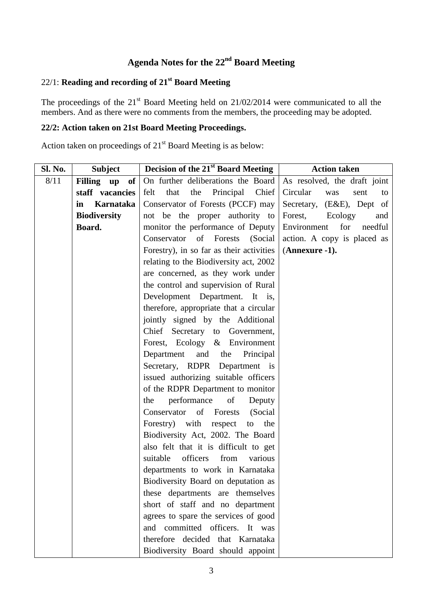# **Agenda Notes for the 22nd Board Meeting**

# 22/1: **Reading and recording of 21st Board Meeting**

The proceedings of the  $21<sup>st</sup>$  Board Meeting held on  $21/02/2014$  were communicated to all the members. And as there were no comments from the members, the proceeding may be adopted.

## **22/2: Action taken on 21st Board Meeting Proceedings.**

Action taken on proceedings of 21<sup>st</sup> Board Meeting is as below:

| Sl. No. | <b>Subject</b>      | Decision of the 21 <sup>st</sup> Board Meeting | <b>Action taken</b>           |
|---------|---------------------|------------------------------------------------|-------------------------------|
| 8/11    | Filling up of       | On further deliberations the Board             | As resolved, the draft joint  |
|         | staff vacancies     | Principal<br>Chief<br>felt<br>that<br>the      | Circular<br>was<br>sent<br>to |
|         | Karnataka<br>in     | Conservator of Forests (PCCF) may              | Secretary, (E&E), Dept of     |
|         | <b>Biodiversity</b> | not be the proper authority to                 | Forest,<br>Ecology<br>and     |
|         | Board.              | monitor the performance of Deputy              | Environment<br>for<br>needful |
|         |                     | Conservator of Forests (Social                 | action. A copy is placed as   |
|         |                     | Forestry), in so far as their activities       | (Annexure -1).                |
|         |                     | relating to the Biodiversity act, 2002         |                               |
|         |                     | are concerned, as they work under              |                               |
|         |                     | the control and supervision of Rural           |                               |
|         |                     | Development Department. It is,                 |                               |
|         |                     | therefore, appropriate that a circular         |                               |
|         |                     | jointly signed by the Additional               |                               |
|         |                     | Chief Secretary to Government,                 |                               |
|         |                     | Forest, Ecology & Environment                  |                               |
|         |                     | Department<br>and<br>the<br>Principal          |                               |
|         |                     | Secretary, RDPR Department is                  |                               |
|         |                     | issued authorizing suitable officers           |                               |
|         |                     | of the RDPR Department to monitor              |                               |
|         |                     | performance<br>of<br>the<br>Deputy             |                               |
|         |                     | (Social)<br>Conservator<br>of Forests          |                               |
|         |                     | Forestry) with respect<br>the<br>to            |                               |
|         |                     | Biodiversity Act, 2002. The Board              |                               |
|         |                     | also felt that it is difficult to get          |                               |
|         |                     | officers<br>suitable<br>from<br>various        |                               |
|         |                     | departments to work in Karnataka               |                               |
|         |                     | Biodiversity Board on deputation as            |                               |
|         |                     | these departments are themselves               |                               |
|         |                     | short of staff and no department               |                               |
|         |                     | agrees to spare the services of good           |                               |
|         |                     | and committed officers. It was                 |                               |
|         |                     | therefore decided that Karnataka               |                               |
|         |                     | Biodiversity Board should appoint              |                               |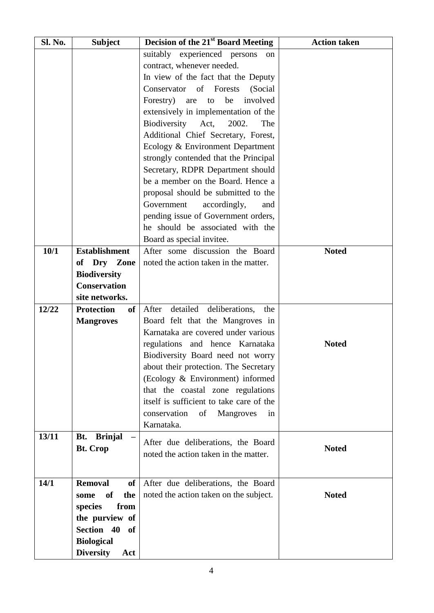| <b>Sl. No.</b> | <b>Subject</b>           | Decision of the 21 <sup>st</sup> Board Meeting                              | <b>Action taken</b> |
|----------------|--------------------------|-----------------------------------------------------------------------------|---------------------|
|                |                          | suitably experienced persons<br>on                                          |                     |
|                |                          | contract, whenever needed.                                                  |                     |
|                |                          | In view of the fact that the Deputy                                         |                     |
|                |                          | Conservator of Forests<br>(Social                                           |                     |
|                |                          | Forestry)<br>be<br>involved<br>are<br>to                                    |                     |
|                |                          | extensively in implementation of the                                        |                     |
|                |                          | Biodiversity<br>2002.<br>Act,<br>The                                        |                     |
|                |                          | Additional Chief Secretary, Forest,                                         |                     |
|                |                          | Ecology & Environment Department                                            |                     |
|                |                          | strongly contended that the Principal                                       |                     |
|                |                          | Secretary, RDPR Department should                                           |                     |
|                |                          | be a member on the Board. Hence a                                           |                     |
|                |                          | proposal should be submitted to the                                         |                     |
|                |                          | Government<br>accordingly,<br>and                                           |                     |
|                |                          | pending issue of Government orders,                                         |                     |
|                |                          | he should be associated with the                                            |                     |
|                |                          | Board as special invitee.                                                   |                     |
| 10/1           | <b>Establishment</b>     | After some discussion the Board                                             | <b>Noted</b>        |
|                | Dry<br>Zone<br>of        | noted the action taken in the matter.                                       |                     |
|                | <b>Biodiversity</b>      |                                                                             |                     |
|                | <b>Conservation</b>      |                                                                             |                     |
|                | site networks.           |                                                                             |                     |
| 12/22          | <b>Protection</b><br>of  | After<br>detailed<br>deliberations,<br>the                                  |                     |
|                | <b>Mangroves</b>         | Board felt that the Mangroves in                                            |                     |
|                |                          | Karnataka are covered under various                                         |                     |
|                |                          | regulations and hence Karnataka                                             | <b>Noted</b>        |
|                |                          | Biodiversity Board need not worry                                           |                     |
|                |                          | about their protection. The Secretary                                       |                     |
|                |                          | (Ecology & Environment) informed                                            |                     |
|                |                          | that the coastal zone regulations                                           |                     |
|                |                          | itself is sufficient to take care of the                                    |                     |
|                |                          | conservation<br>of<br>Mangroves<br>in                                       |                     |
|                |                          | Karnataka.                                                                  |                     |
| 13/11          | <b>Brinjal</b><br>Bt.    |                                                                             |                     |
|                | <b>Bt. Crop</b>          | After due deliberations, the Board<br>noted the action taken in the matter. | <b>Noted</b>        |
|                |                          |                                                                             |                     |
|                |                          |                                                                             |                     |
| 14/1           | <b>Removal</b><br>of     | After due deliberations, the Board                                          |                     |
|                | <b>of</b><br>the<br>some | noted the action taken on the subject.                                      | <b>Noted</b>        |
|                | from<br>species          |                                                                             |                     |
|                | the purview of           |                                                                             |                     |
|                | Section 40<br><b>of</b>  |                                                                             |                     |
|                | <b>Biological</b>        |                                                                             |                     |
|                | <b>Diversity</b><br>Act  |                                                                             |                     |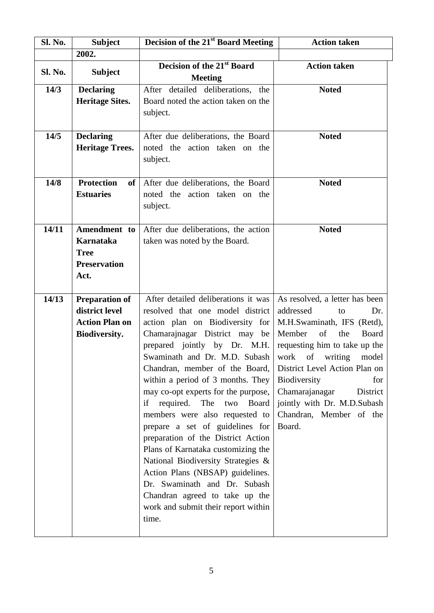| Sl. No. | <b>Subject</b>                                                                    | <b>Decision of the 21st Board Meeting</b>                                                                                                                                                                                                                                                                                                                                                                                                                                                                                                                                                                                                                                                                   | <b>Action taken</b>                                                                                                                                                                                                                                                                                                                                     |
|---------|-----------------------------------------------------------------------------------|-------------------------------------------------------------------------------------------------------------------------------------------------------------------------------------------------------------------------------------------------------------------------------------------------------------------------------------------------------------------------------------------------------------------------------------------------------------------------------------------------------------------------------------------------------------------------------------------------------------------------------------------------------------------------------------------------------------|---------------------------------------------------------------------------------------------------------------------------------------------------------------------------------------------------------------------------------------------------------------------------------------------------------------------------------------------------------|
|         | 2002.                                                                             |                                                                                                                                                                                                                                                                                                                                                                                                                                                                                                                                                                                                                                                                                                             |                                                                                                                                                                                                                                                                                                                                                         |
| Sl. No. | <b>Subject</b>                                                                    | Decision of the 21 <sup>st</sup> Board<br><b>Meeting</b>                                                                                                                                                                                                                                                                                                                                                                                                                                                                                                                                                                                                                                                    | <b>Action taken</b>                                                                                                                                                                                                                                                                                                                                     |
| 14/3    | <b>Declaring</b><br><b>Heritage Sites.</b>                                        | After detailed deliberations, the<br>Board noted the action taken on the<br>subject.                                                                                                                                                                                                                                                                                                                                                                                                                                                                                                                                                                                                                        | <b>Noted</b>                                                                                                                                                                                                                                                                                                                                            |
| 14/5    | <b>Declaring</b><br><b>Heritage Trees.</b>                                        | After due deliberations, the Board<br>noted the action taken on the<br>subject.                                                                                                                                                                                                                                                                                                                                                                                                                                                                                                                                                                                                                             | <b>Noted</b>                                                                                                                                                                                                                                                                                                                                            |
| 14/8    | <b>Protection</b><br>of<br><b>Estuaries</b>                                       | After due deliberations, the Board<br>noted the action taken on the<br>subject.                                                                                                                                                                                                                                                                                                                                                                                                                                                                                                                                                                                                                             | <b>Noted</b>                                                                                                                                                                                                                                                                                                                                            |
| 14/11   | Amendment to<br>Karnataka<br><b>Tree</b><br><b>Preservation</b><br>Act.           | After due deliberations, the action<br>taken was noted by the Board.                                                                                                                                                                                                                                                                                                                                                                                                                                                                                                                                                                                                                                        | <b>Noted</b>                                                                                                                                                                                                                                                                                                                                            |
| 14/13   | <b>Preparation of</b><br>district level<br><b>Action Plan on</b><br>Biodiversity. | After detailed deliberations it was<br>resolved that one model district<br>action plan on Biodiversity for<br>Chamarajnagar District may be<br>prepared jointly by Dr. M.H.<br>Swaminath and Dr. M.D. Subash<br>Chandran, member of the Board,<br>within a period of 3 months. They<br>may co-opt experts for the purpose,<br>if required. The<br>two<br>Board<br>members were also requested to<br>prepare a set of guidelines for<br>preparation of the District Action<br>Plans of Karnataka customizing the<br>National Biodiversity Strategies &<br>Action Plans (NBSAP) guidelines.<br>Dr. Swaminath and Dr. Subash<br>Chandran agreed to take up the<br>work and submit their report within<br>time. | As resolved, a letter has been<br>addressed<br>Dr.<br>to<br>M.H.Swaminath, IFS (Retd),<br>Member<br>of<br>the<br><b>Board</b><br>requesting him to take up the<br>work of<br>writing<br>model<br>District Level Action Plan on<br>Biodiversity<br>for<br>Chamarajanagar<br>District<br>jointly with Dr. M.D.Subash<br>Chandran, Member of the<br>Board. |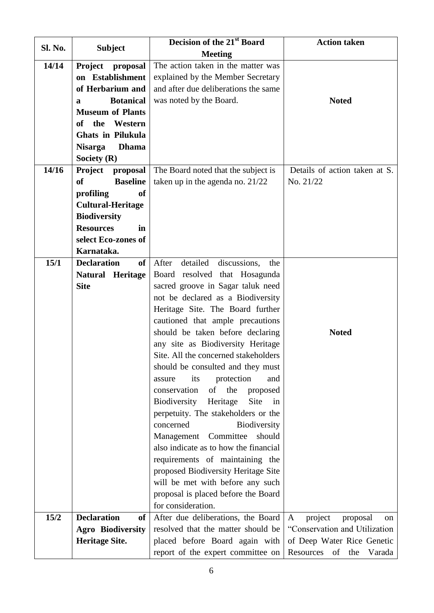| Sl. No. |                                     | Decision of the 21 <sup>st</sup> Board   | <b>Action taken</b>                       |
|---------|-------------------------------------|------------------------------------------|-------------------------------------------|
|         | <b>Subject</b>                      | <b>Meeting</b>                           |                                           |
| 14/14   | <b>Project</b><br>proposal          | The action taken in the matter was       |                                           |
|         | on Establishment                    | explained by the Member Secretary        |                                           |
|         | of Herbarium and                    | and after due deliberations the same     |                                           |
|         | <b>Botanical</b><br>a               | was noted by the Board.                  | <b>Noted</b>                              |
|         | <b>Museum of Plants</b>             |                                          |                                           |
|         | the<br>Western<br>of                |                                          |                                           |
|         | <b>Ghats in Pilukula</b>            |                                          |                                           |
|         | <b>Nisarga</b><br><b>Dhama</b>      |                                          |                                           |
|         | Society $(R)$                       |                                          |                                           |
| 14/16   | <b>Project</b><br>proposal          | The Board noted that the subject is      | Details of action taken at S.             |
|         | <b>of</b><br><b>Baseline</b>        | taken up in the agenda no. 21/22         | No. 21/22                                 |
|         | profiling<br><sub>of</sub>          |                                          |                                           |
|         | <b>Cultural-Heritage</b>            |                                          |                                           |
|         | <b>Biodiversity</b>                 |                                          |                                           |
|         | <b>Resources</b><br>in              |                                          |                                           |
|         | select Eco-zones of                 |                                          |                                           |
|         | Karnataka.                          |                                          |                                           |
| 15/1    | <b>Declaration</b><br><sub>of</sub> | After<br>detailed<br>discussions,<br>the |                                           |
|         | <b>Natural Heritage</b>             | Board resolved that Hosagunda            |                                           |
|         | <b>Site</b>                         | sacred groove in Sagar taluk need        |                                           |
|         |                                     | not be declared as a Biodiversity        |                                           |
|         |                                     | Heritage Site. The Board further         |                                           |
|         |                                     | cautioned that ample precautions         |                                           |
|         |                                     | should be taken before declaring         | <b>Noted</b>                              |
|         |                                     | any site as Biodiversity Heritage        |                                           |
|         |                                     | Site. All the concerned stakeholders     |                                           |
|         |                                     | should be consulted and they must        |                                           |
|         |                                     | protection<br>its<br>assure<br>and       |                                           |
|         |                                     | conservation<br>of<br>the<br>proposed    |                                           |
|         |                                     | Site<br>Biodiversity<br>Heritage<br>in   |                                           |
|         |                                     | perpetuity. The stakeholders or the      |                                           |
|         |                                     | Biodiversity<br>concerned                |                                           |
|         |                                     | Committee<br>should<br>Management        |                                           |
|         |                                     | also indicate as to how the financial    |                                           |
|         |                                     | requirements of maintaining the          |                                           |
|         |                                     | proposed Biodiversity Heritage Site      |                                           |
|         |                                     | will be met with before any such         |                                           |
|         |                                     | proposal is placed before the Board      |                                           |
|         |                                     | for consideration.                       |                                           |
| 15/2    | <b>Declaration</b><br><sub>of</sub> | After due deliberations, the Board       | project<br>proposal<br>$\mathbf{A}$<br>on |
|         | <b>Agro Biodiversity</b>            | resolved that the matter should be       | "Conservation and Utilization             |
|         | <b>Heritage Site.</b>               | placed before Board again with           | of Deep Water Rice Genetic                |
|         |                                     | report of the expert committee on        | Resources<br>of<br>the<br>Varada          |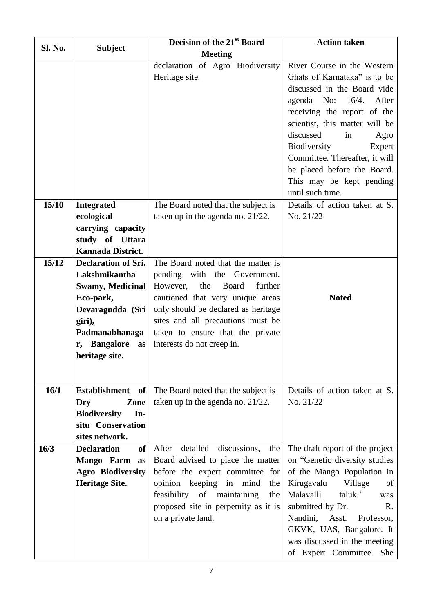|         |                                 | Decision of the 21 <sup>st</sup> Board                                  | <b>Action taken</b>                |
|---------|---------------------------------|-------------------------------------------------------------------------|------------------------------------|
| Sl. No. | <b>Subject</b>                  | <b>Meeting</b>                                                          |                                    |
|         |                                 | declaration of Agro Biodiversity                                        | River Course in the Western        |
|         |                                 | Heritage site.                                                          | Ghats of Karnataka" is to be       |
|         |                                 |                                                                         | discussed in the Board vide        |
|         |                                 |                                                                         | agenda No: $16/4$ .<br>After       |
|         |                                 |                                                                         | receiving the report of the        |
|         |                                 |                                                                         | scientist, this matter will be     |
|         |                                 |                                                                         | discussed<br>in<br>Agro            |
|         |                                 |                                                                         | Biodiversity<br>Expert             |
|         |                                 |                                                                         | Committee. Thereafter, it will     |
|         |                                 |                                                                         | be placed before the Board.        |
|         |                                 |                                                                         | This may be kept pending           |
|         |                                 |                                                                         | until such time.                   |
| 15/10   | <b>Integrated</b>               | The Board noted that the subject is                                     | Details of action taken at S.      |
|         | ecological                      | taken up in the agenda no. $21/22$ .                                    | No. 21/22                          |
|         | carrying capacity               |                                                                         |                                    |
|         | study of Uttara                 |                                                                         |                                    |
|         | Kannada District.               |                                                                         |                                    |
| 15/12   | <b>Declaration of Sri.</b>      | The Board noted that the matter is                                      |                                    |
|         | Lakshmikantha                   | pending with the Government.                                            |                                    |
|         | <b>Swamy, Medicinal</b>         | However,<br>the<br>Board<br>further                                     | <b>Noted</b>                       |
|         | Eco-park,<br>Devaragudda (Sri   | cautioned that very unique areas<br>only should be declared as heritage |                                    |
|         | giri),                          | sites and all precautions must be                                       |                                    |
|         | Padmanabhanaga                  | taken to ensure that the private                                        |                                    |
|         | r, Bangalore<br>as              | interests do not creep in.                                              |                                    |
|         | heritage site.                  |                                                                         |                                    |
|         |                                 |                                                                         |                                    |
|         |                                 |                                                                         |                                    |
| 16/1    | Establishment of                | The Board noted that the subject is                                     | Details of action taken at S.      |
|         | Zone<br>Dry                     | taken up in the agenda no. $21/22$ .                                    | No. 21/22                          |
|         | In-<br><b>Biodiversity</b>      |                                                                         |                                    |
|         | situ Conservation               |                                                                         |                                    |
|         | sites network.                  |                                                                         |                                    |
| 16/3    | <b>Declaration</b><br><b>of</b> | detailed<br>discussions,<br>After<br>the                                | The draft report of the project    |
|         | Mango Farm<br>as                | Board advised to place the matter                                       | on "Genetic diversity studies      |
|         | <b>Agro Biodiversity</b>        | before the expert committee for                                         | of the Mango Population in         |
|         | <b>Heritage Site.</b>           | opinion keeping in<br>mind<br>the                                       | Kirugavalu<br>Village<br>of        |
|         |                                 | feasibility of<br>maintaining<br>the                                    | Malavalli<br>taluk.'<br>was        |
|         |                                 | proposed site in perpetuity as it is                                    | submitted by Dr.<br>$\mathbf{R}$ . |
|         |                                 | on a private land.                                                      | Nandini,<br>Asst.<br>Professor,    |
|         |                                 |                                                                         | GKVK, UAS, Bangalore. It           |
|         |                                 |                                                                         | was discussed in the meeting       |
|         |                                 |                                                                         | of Expert Committee. She           |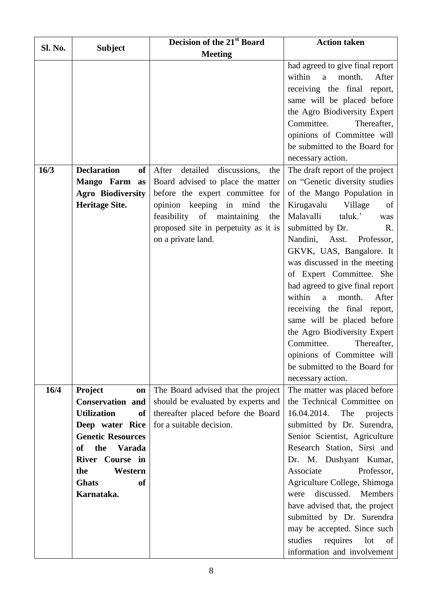|                |                                     | Decision of the 21 <sup>st</sup> Board   | <b>Action taken</b>                                       |
|----------------|-------------------------------------|------------------------------------------|-----------------------------------------------------------|
| <b>Sl. No.</b> | <b>Subject</b>                      | <b>Meeting</b>                           |                                                           |
|                |                                     |                                          | had agreed to give final report                           |
|                |                                     |                                          | within<br>month.<br>After<br>a                            |
|                |                                     |                                          | receiving the final report,                               |
|                |                                     |                                          | same will be placed before                                |
|                |                                     |                                          | the Agro Biodiversity Expert                              |
|                |                                     |                                          | Committee.<br>Thereafter,                                 |
|                |                                     |                                          | opinions of Committee will                                |
|                |                                     |                                          | be submitted to the Board for                             |
|                |                                     |                                          | necessary action.                                         |
| 16/3           | <b>Declaration</b><br><sub>of</sub> | detailed<br>discussions,<br>After<br>the | The draft report of the project                           |
|                | Mango Farm as                       | Board advised to place the matter        | on "Genetic diversity studies                             |
|                | <b>Agro Biodiversity</b>            | before the expert committee for          | of the Mango Population in                                |
|                | <b>Heritage Site.</b>               | opinion keeping in mind<br>the           | Kirugavalu<br>Village<br>of                               |
|                |                                     | feasibility of maintaining<br>the        | Malavalli<br>taluk.'<br>was                               |
|                |                                     | proposed site in perpetuity as it is     | submitted by Dr.<br>R.                                    |
|                |                                     | on a private land.                       | Nandini, Asst. Professor,                                 |
|                |                                     |                                          | GKVK, UAS, Bangalore. It                                  |
|                |                                     |                                          | was discussed in the meeting                              |
|                |                                     |                                          | of Expert Committee. She                                  |
|                |                                     |                                          | had agreed to give final report<br>After<br>within        |
|                |                                     |                                          | month.<br>$\mathbf{a}$                                    |
|                |                                     |                                          | receiving the final report,<br>same will be placed before |
|                |                                     |                                          | the Agro Biodiversity Expert                              |
|                |                                     |                                          | Committee.<br>Thereafter,                                 |
|                |                                     |                                          | opinions of Committee will                                |
|                |                                     |                                          | be submitted to the Board for                             |
|                |                                     |                                          | necessary action.                                         |
| 16/4           | <b>Project</b><br>on                | The Board advised that the project       | The matter was placed before                              |
|                | <b>Conservation and</b>             | should be evaluated by experts and       | the Technical Committee on                                |
|                | <b>Utilization</b><br>of            | thereafter placed before the Board       | 16.04.2014. The<br>projects                               |
|                | Deep water Rice                     | for a suitable decision.                 | submitted by Dr. Surendra,                                |
|                | <b>Genetic Resources</b>            |                                          | Senior Scientist, Agriculture                             |
|                | the<br><b>Varada</b><br><b>of</b>   |                                          | Research Station, Sirsi and                               |
|                | River Course in                     |                                          | Dr. M. Dushyant Kumar,                                    |
|                | the<br>Western                      |                                          | Associate<br>Professor,                                   |
|                | <b>Ghats</b><br><sub>of</sub>       |                                          | Agriculture College, Shimoga                              |
|                | Karnataka.                          |                                          | discussed.<br>Members<br>were                             |
|                |                                     |                                          | have advised that, the project                            |
|                |                                     |                                          | submitted by Dr. Surendra                                 |
|                |                                     |                                          | may be accepted. Since such                               |
|                |                                     |                                          | studies<br>requires<br>lot<br>of                          |
|                |                                     |                                          | information and involvement                               |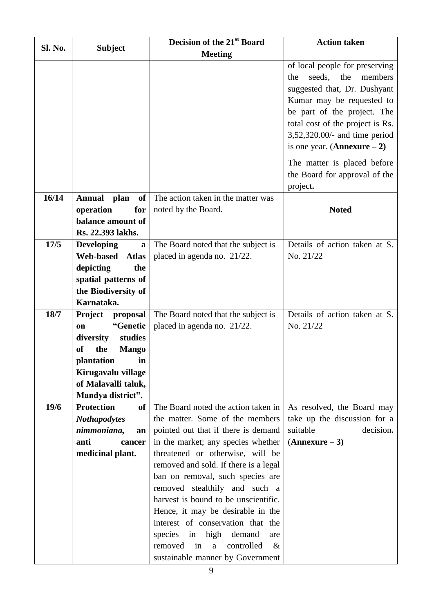| Sl. No. | <b>Subject</b>                     | Decision of the 21st Board                                   | <b>Action taken</b>              |
|---------|------------------------------------|--------------------------------------------------------------|----------------------------------|
|         |                                    | <b>Meeting</b>                                               |                                  |
|         |                                    |                                                              | of local people for preserving   |
|         |                                    |                                                              | seeds, the<br>members<br>the     |
|         |                                    |                                                              | suggested that, Dr. Dushyant     |
|         |                                    |                                                              | Kumar may be requested to        |
|         |                                    |                                                              | be part of the project. The      |
|         |                                    |                                                              | total cost of the project is Rs. |
|         |                                    |                                                              | 3,52,320.00/- and time period    |
|         |                                    |                                                              | is one year. $(Annexure – 2)$    |
|         |                                    |                                                              | The matter is placed before      |
|         |                                    |                                                              | the Board for approval of the    |
|         |                                    |                                                              | project.                         |
| 16/14   | <b>Annual</b><br>plan<br><b>of</b> | The action taken in the matter was                           |                                  |
|         | operation<br>for                   | noted by the Board.                                          | <b>Noted</b>                     |
|         | balance amount of                  |                                                              |                                  |
|         | Rs. 22.393 lakhs.                  |                                                              |                                  |
| 17/5    | <b>Developing</b><br>a             | The Board noted that the subject is                          | Details of action taken at S.    |
|         | <b>Web-based</b><br><b>Atlas</b>   | placed in agenda no. 21/22.                                  | No. 21/22                        |
|         | depicting<br>the                   |                                                              |                                  |
|         | spatial patterns of                |                                                              |                                  |
|         | the Biodiversity of<br>Karnataka.  |                                                              |                                  |
| 18/7    | <b>Project</b><br>proposal         | The Board noted that the subject is                          | Details of action taken at S.    |
|         | "Genetic<br>on                     | placed in agenda no. 21/22.                                  | No. 21/22                        |
|         | studies<br>diversity               |                                                              |                                  |
|         | <b>of</b><br>the<br><b>Mango</b>   |                                                              |                                  |
|         | plantation<br>in.                  |                                                              |                                  |
|         | Kirugavalu village                 |                                                              |                                  |
|         | of Malavalli taluk,                |                                                              |                                  |
|         | Mandya district".                  |                                                              |                                  |
| 19/6    | <b>Protection</b><br>of            | The Board noted the action taken in                          | As resolved, the Board may       |
|         | <b>Nothapodytes</b>                | the matter. Some of the members                              | take up the discussion for a     |
|         | nimmoniana,<br>an                  | pointed out that if there is demand                          | suitable<br>decision.            |
|         | anti<br>cancer                     | in the market; any species whether                           | $(Annexure-3)$                   |
|         | medicinal plant.                   | threatened or otherwise, will be                             |                                  |
|         |                                    | removed and sold. If there is a legal                        |                                  |
|         |                                    | ban on removal, such species are                             |                                  |
|         |                                    | removed stealthily and such a                                |                                  |
|         |                                    | harvest is bound to be unscientific.                         |                                  |
|         |                                    | Hence, it may be desirable in the                            |                                  |
|         |                                    | interest of conservation that the<br>demand<br>species<br>in |                                  |
|         |                                    | high<br>are<br>controlled<br>removed<br>$\&$<br>in<br>a      |                                  |
|         |                                    | sustainable manner by Government                             |                                  |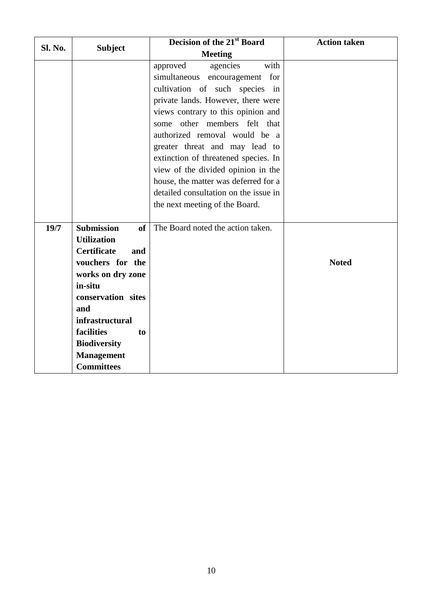|         |                                                                                                                                                                                                                                                                                                   | Decision of the 21 <sup>st</sup> Board                                                                                                                                                                                                                                                                                                                                                                                                                                              | <b>Action taken</b> |
|---------|---------------------------------------------------------------------------------------------------------------------------------------------------------------------------------------------------------------------------------------------------------------------------------------------------|-------------------------------------------------------------------------------------------------------------------------------------------------------------------------------------------------------------------------------------------------------------------------------------------------------------------------------------------------------------------------------------------------------------------------------------------------------------------------------------|---------------------|
| Sl. No. | <b>Subject</b>                                                                                                                                                                                                                                                                                    | <b>Meeting</b>                                                                                                                                                                                                                                                                                                                                                                                                                                                                      |                     |
|         |                                                                                                                                                                                                                                                                                                   | with<br>approved<br>agencies<br>simultaneous<br>encouragement for<br>cultivation of such species in<br>private lands. However, there were<br>views contrary to this opinion and<br>some other members felt that<br>authorized removal would be a<br>greater threat and may lead to<br>extinction of threatened species. In<br>view of the divided opinion in the<br>house, the matter was deferred for a<br>detailed consultation on the issue in<br>the next meeting of the Board. |                     |
| 19/7    | <b>Submission</b><br><sub>of</sub><br><b>Utilization</b><br><b>Certificate</b><br>and<br>vouchers for the<br>works on dry zone<br>in-situ<br>conservation sites<br>and<br><i>infrastructural</i><br>facilities<br>t <sub>o</sub><br><b>Biodiversity</b><br><b>Management</b><br><b>Committees</b> | The Board noted the action taken.                                                                                                                                                                                                                                                                                                                                                                                                                                                   | <b>Noted</b>        |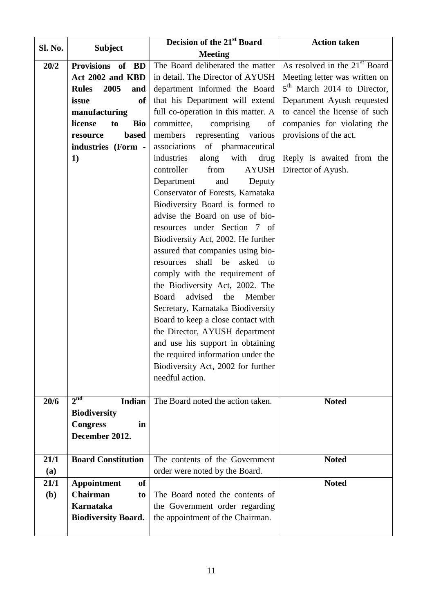|                |                                  | Decision of the 21 <sup>st</sup> Board   | <b>Action taken</b>                     |
|----------------|----------------------------------|------------------------------------------|-----------------------------------------|
| <b>Sl. No.</b> | <b>Subject</b>                   | <b>Meeting</b>                           |                                         |
| 20/2           | Provisions of BD                 | The Board deliberated the matter         | As resolved in the $21st$ Board         |
|                | Act 2002 and KBD                 | in detail. The Director of AYUSH         | Meeting letter was written on           |
|                | 2005<br><b>Rules</b><br>and      | department informed the Board            | 5 <sup>th</sup> March 2014 to Director, |
|                | <sub>of</sub><br>issue           | that his Department will extend          | Department Ayush requested              |
|                | manufacturing                    | full co-operation in this matter. A      | to cancel the license of such           |
|                | license<br><b>Bio</b><br>to      | committee,<br>comprising<br>of           | companies for violating the             |
|                | <b>based</b><br>resource         | members representing various             | provisions of the act.                  |
|                | industries (Form -               | associations of pharmaceutical           |                                         |
|                | 1)                               | industries<br>along<br>with<br>drug      | Reply is awaited from the               |
|                |                                  | from<br><b>AYUSH</b><br>controller       | Director of Ayush.                      |
|                |                                  | Department<br>Deputy<br>and              |                                         |
|                |                                  | Conservator of Forests, Karnataka        |                                         |
|                |                                  | Biodiversity Board is formed to          |                                         |
|                |                                  | advise the Board on use of bio-          |                                         |
|                |                                  | resources under Section 7 of             |                                         |
|                |                                  | Biodiversity Act, 2002. He further       |                                         |
|                |                                  | assured that companies using bio-        |                                         |
|                |                                  | shall<br>be<br>asked<br>resources<br>to  |                                         |
|                |                                  | comply with the requirement of           |                                         |
|                |                                  | the Biodiversity Act, 2002. The          |                                         |
|                |                                  | advised<br>the<br>Member<br><b>Board</b> |                                         |
|                |                                  | Secretary, Karnataka Biodiversity        |                                         |
|                |                                  | Board to keep a close contact with       |                                         |
|                |                                  | the Director, AYUSH department           |                                         |
|                |                                  | and use his support in obtaining         |                                         |
|                |                                  | the required information under the       |                                         |
|                |                                  | Biodiversity Act, 2002 for further       |                                         |
|                |                                  | needful action.                          |                                         |
|                |                                  |                                          |                                         |
| 20/6           | 2 <sub>nd</sub><br><b>Indian</b> | The Board noted the action taken.        | <b>Noted</b>                            |
|                | <b>Biodiversity</b>              |                                          |                                         |
|                | <b>Congress</b><br>in            |                                          |                                         |
|                | December 2012.                   |                                          |                                         |
|                |                                  |                                          |                                         |
| 21/1           | <b>Board Constitution</b>        | The contents of the Government           | <b>Noted</b>                            |
| (a)            |                                  | order were noted by the Board.           |                                         |
| 21/1           | <b>Appointment</b><br><b>of</b>  |                                          | <b>Noted</b>                            |
| <b>(b)</b>     | <b>Chairman</b><br>to            | The Board noted the contents of          |                                         |
|                | <b>Karnataka</b>                 | the Government order regarding           |                                         |
|                | <b>Biodiversity Board.</b>       | the appointment of the Chairman.         |                                         |
|                |                                  |                                          |                                         |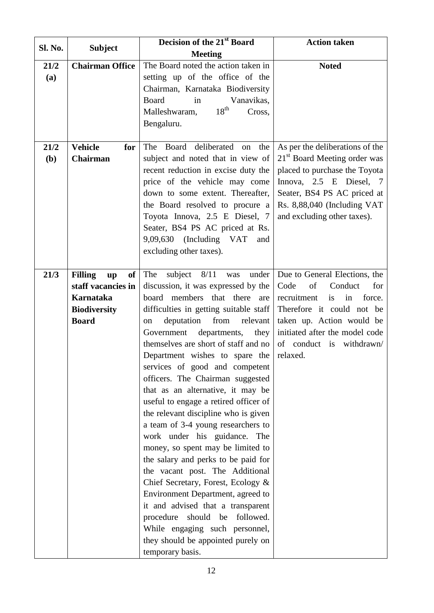| Sl. No.              | <b>Subject</b>                                                                                                                  | Decision of the 21 <sup>st</sup> Board                                                                                                                                                                                                                                                                                                                                                                                                                                                                                                                                                                                                                                                                                                                                                                                                                                                                                                                   | <b>Action taken</b>                                                                                                                                                                                                                    |
|----------------------|---------------------------------------------------------------------------------------------------------------------------------|----------------------------------------------------------------------------------------------------------------------------------------------------------------------------------------------------------------------------------------------------------------------------------------------------------------------------------------------------------------------------------------------------------------------------------------------------------------------------------------------------------------------------------------------------------------------------------------------------------------------------------------------------------------------------------------------------------------------------------------------------------------------------------------------------------------------------------------------------------------------------------------------------------------------------------------------------------|----------------------------------------------------------------------------------------------------------------------------------------------------------------------------------------------------------------------------------------|
|                      |                                                                                                                                 | <b>Meeting</b>                                                                                                                                                                                                                                                                                                                                                                                                                                                                                                                                                                                                                                                                                                                                                                                                                                                                                                                                           |                                                                                                                                                                                                                                        |
| 21/2<br>(a)          | <b>Chairman Office</b>                                                                                                          | The Board noted the action taken in<br>setting up of the office of the<br>Chairman, Karnataka Biodiversity<br><b>Board</b><br>Vanavikas,<br>in<br>$18^{\text{th}}$<br>Malleshwaram,<br>Cross,<br>Bengaluru.                                                                                                                                                                                                                                                                                                                                                                                                                                                                                                                                                                                                                                                                                                                                              | <b>Noted</b>                                                                                                                                                                                                                           |
| 21/2<br>( <b>b</b> ) | <b>Vehicle</b><br>for<br>Chairman                                                                                               | Board deliberated<br>The<br>the<br>on<br>subject and noted that in view of<br>recent reduction in excise duty the<br>price of the vehicle may come<br>down to some extent. Thereafter,<br>the Board resolved to procure a<br>Toyota Innova, 2.5 E Diesel, 7<br>Seater, BS4 PS AC priced at Rs.<br>9,09,630 (Including VAT and<br>excluding other taxes).                                                                                                                                                                                                                                                                                                                                                                                                                                                                                                                                                                                                 | As per the deliberations of the<br>21 <sup>st</sup> Board Meeting order was<br>placed to purchase the Toyota<br>Innova, 2.5 E Diesel, 7<br>Seater, BS4 PS AC priced at<br>Rs. 8,88,040 (Including VAT<br>and excluding other taxes).   |
| 21/3                 | <b>Filling</b><br>of<br>$\mathbf{u}\mathbf{p}$<br>staff vacancies in<br><b>Karnataka</b><br><b>Biodiversity</b><br><b>Board</b> | The<br>subject $8/11$<br>under<br>was<br>discussion, it was expressed by the<br>that there<br>board members<br>are<br>difficulties in getting suitable staff<br>deputation<br>from<br>relevant<br>on<br>Government<br>departments,<br>they<br>themselves are short of staff and no<br>Department wishes to spare the<br>services of good and competent<br>officers. The Chairman suggested<br>that as an alternative, it may be<br>useful to engage a retired officer of<br>the relevant discipline who is given<br>a team of 3-4 young researchers to<br>work under his guidance. The<br>money, so spent may be limited to<br>the salary and perks to be paid for<br>the vacant post. The Additional<br>Chief Secretary, Forest, Ecology &<br>Environment Department, agreed to<br>it and advised that a transparent<br>followed.<br>should be<br>procedure<br>While engaging such personnel,<br>they should be appointed purely on<br>temporary basis. | Due to General Elections, the<br>Code<br>of<br>Conduct<br>for<br>recruitment<br>force.<br>is<br>in<br>Therefore it could not be<br>taken up. Action would be<br>initiated after the model code<br>of conduct is withdrawn/<br>relaxed. |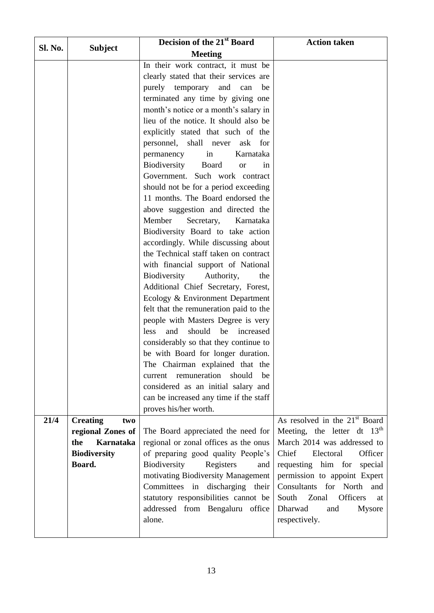|                |                         | Decision of the 21st Board                                        | <b>Action taken</b>                       |
|----------------|-------------------------|-------------------------------------------------------------------|-------------------------------------------|
| <b>Sl. No.</b> | <b>Subject</b>          | <b>Meeting</b>                                                    |                                           |
|                |                         | In their work contract, it must be                                |                                           |
|                |                         | clearly stated that their services are                            |                                           |
|                |                         | purely temporary<br>and<br>can<br>be                              |                                           |
|                |                         | terminated any time by giving one                                 |                                           |
|                |                         | month's notice or a month's salary in                             |                                           |
|                |                         | lieu of the notice. It should also be                             |                                           |
|                |                         | explicitly stated that such of the                                |                                           |
|                |                         | personnel, shall never<br>ask<br>for                              |                                           |
|                |                         | permanency<br>Karnataka<br>in                                     |                                           |
|                |                         | Biodiversity<br>Board<br><b>or</b><br>in                          |                                           |
|                |                         | Government. Such work contract                                    |                                           |
|                |                         | should not be for a period exceeding                              |                                           |
|                |                         | 11 months. The Board endorsed the                                 |                                           |
|                |                         | above suggestion and directed the                                 |                                           |
|                |                         | Member<br>Karnataka<br>Secretary,                                 |                                           |
|                |                         | Biodiversity Board to take action                                 |                                           |
|                |                         | accordingly. While discussing about                               |                                           |
|                |                         | the Technical staff taken on contract                             |                                           |
|                |                         | with financial support of National<br>the                         |                                           |
|                |                         | Biodiversity<br>Authority,<br>Additional Chief Secretary, Forest, |                                           |
|                |                         | Ecology & Environment Department                                  |                                           |
|                |                         | felt that the remuneration paid to the                            |                                           |
|                |                         | people with Masters Degree is very                                |                                           |
|                |                         | should<br>less<br>and<br>be<br>increased                          |                                           |
|                |                         | considerably so that they continue to                             |                                           |
|                |                         | be with Board for longer duration.                                |                                           |
|                |                         | The Chairman explained that the                                   |                                           |
|                |                         | current remuneration<br>should<br>be                              |                                           |
|                |                         | considered as an initial salary and                               |                                           |
|                |                         | can be increased any time if the staff                            |                                           |
|                |                         | proves his/her worth.                                             |                                           |
| 21/4           | <b>Creating</b><br>two  |                                                                   | As resolved in the 21 <sup>st</sup> Board |
|                | regional Zones of       | The Board appreciated the need for                                | Meeting, the letter dt $13th$             |
|                | <b>Karnataka</b><br>the | regional or zonal offices as the onus                             | March 2014 was addressed to               |
|                | <b>Biodiversity</b>     | of preparing good quality People's                                | Chief<br>Electoral<br>Officer             |
|                | Board.                  | Biodiversity<br>Registers<br>and                                  | requesting him for<br>special             |
|                |                         | motivating Biodiversity Management                                | permission to appoint Expert              |
|                |                         | Committees in discharging their                                   | Consultants for North and                 |
|                |                         | statutory responsibilities cannot be                              | <b>Officers</b><br>South<br>Zonal<br>at   |
|                |                         | addressed from Bengaluru office<br>alone.                         | Dharwad<br>and<br><b>Mysore</b>           |
|                |                         |                                                                   | respectively.                             |
|                |                         |                                                                   |                                           |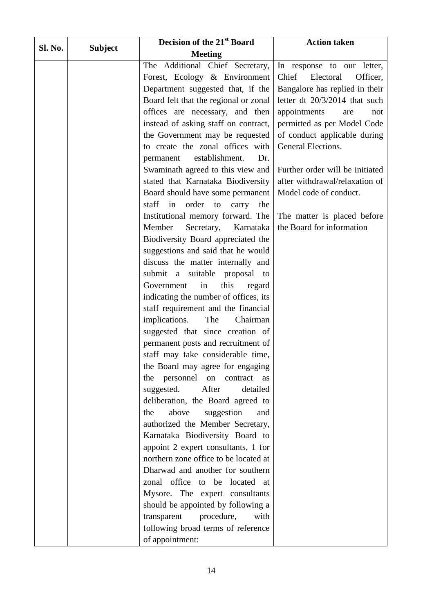| Sl. No. |                | Decision of the 21 <sup>st</sup> Board  | <b>Action taken</b>             |
|---------|----------------|-----------------------------------------|---------------------------------|
|         | <b>Subject</b> | <b>Meeting</b>                          |                                 |
|         |                | The Additional Chief Secretary,         | In response to our letter,      |
|         |                | Forest, Ecology & Environment           | Chief<br>Electoral<br>Officer,  |
|         |                | Department suggested that, if the       | Bangalore has replied in their  |
|         |                | Board felt that the regional or zonal   | letter dt 20/3/2014 that such   |
|         |                | offices are necessary, and then         | appointments<br>are<br>not      |
|         |                | instead of asking staff on contract,    | permitted as per Model Code     |
|         |                | the Government may be requested         | of conduct applicable during    |
|         |                | to create the zonal offices with        | General Elections.              |
|         |                | establishment.<br>Dr.<br>permanent      |                                 |
|         |                | Swaminath agreed to this view and       | Further order will be initiated |
|         |                | stated that Karnataka Biodiversity      | after withdrawal/relaxation of  |
|         |                | Board should have some permanent        | Model code of conduct.          |
|         |                | staff<br>in order<br>to<br>carry<br>the |                                 |
|         |                | Institutional memory forward. The       | The matter is placed before     |
|         |                | Member<br>Secretary,<br>Karnataka       | the Board for information       |
|         |                | Biodiversity Board appreciated the      |                                 |
|         |                | suggestions and said that he would      |                                 |
|         |                | discuss the matter internally and       |                                 |
|         |                | submit a suitable proposal to           |                                 |
|         |                | this<br>in<br>Government<br>regard      |                                 |
|         |                | indicating the number of offices, its   |                                 |
|         |                | staff requirement and the financial     |                                 |
|         |                | implications.<br>The<br>Chairman        |                                 |
|         |                | suggested that since creation of        |                                 |
|         |                | permanent posts and recruitment of      |                                 |
|         |                | staff may take considerable time,       |                                 |
|         |                | the Board may agree for engaging        |                                 |
|         |                | the personnel<br>contract as<br>on      |                                 |
|         |                | After<br>suggested.<br>detailed         |                                 |
|         |                | deliberation, the Board agreed to       |                                 |
|         |                | above<br>suggestion<br>the<br>and       |                                 |
|         |                | authorized the Member Secretary,        |                                 |
|         |                | Karnataka Biodiversity Board to         |                                 |
|         |                | appoint 2 expert consultants, 1 for     |                                 |
|         |                | northern zone office to be located at   |                                 |
|         |                | Dharwad and another for southern        |                                 |
|         |                | zonal office to be located at           |                                 |
|         |                | Mysore. The expert consultants          |                                 |
|         |                | should be appointed by following a      |                                 |
|         |                | procedure,<br>with<br>transparent       |                                 |
|         |                | following broad terms of reference      |                                 |
|         |                | of appointment:                         |                                 |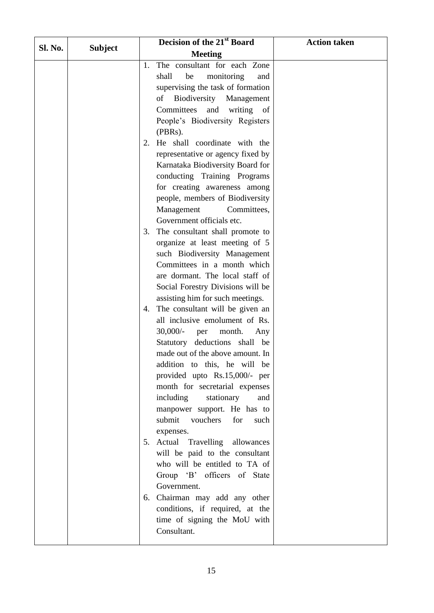|         |                | Decision of the 21st Board                  | <b>Action taken</b> |
|---------|----------------|---------------------------------------------|---------------------|
| Sl. No. | <b>Subject</b> | <b>Meeting</b>                              |                     |
|         |                | The consultant for each Zone<br>1.          |                     |
|         |                | shall<br>monitoring<br>be<br>and            |                     |
|         |                | supervising the task of formation           |                     |
|         |                | Biodiversity<br>Management<br>of            |                     |
|         |                | Committees<br>and<br>writing<br>of          |                     |
|         |                | People's Biodiversity Registers             |                     |
|         |                | (PBRs).                                     |                     |
|         |                | He shall coordinate with the<br>2.          |                     |
|         |                | representative or agency fixed by           |                     |
|         |                | Karnataka Biodiversity Board for            |                     |
|         |                | conducting Training Programs                |                     |
|         |                | for creating awareness among                |                     |
|         |                | people, members of Biodiversity             |                     |
|         |                | Management<br>Committees,                   |                     |
|         |                | Government officials etc.                   |                     |
|         |                | The consultant shall promote to<br>3.       |                     |
|         |                | organize at least meeting of 5              |                     |
|         |                | such Biodiversity Management                |                     |
|         |                | Committees in a month which                 |                     |
|         |                | are dormant. The local staff of             |                     |
|         |                | Social Forestry Divisions will be           |                     |
|         |                | assisting him for such meetings.            |                     |
|         |                | The consultant will be given an<br>4.       |                     |
|         |                | all inclusive emolument of Rs.              |                     |
|         |                | $30,000/$ -<br>month.<br>Any<br>per         |                     |
|         |                | Statutory deductions shall be               |                     |
|         |                | made out of the above amount. In            |                     |
|         |                | addition to this, he will be                |                     |
|         |                | provided upto Rs.15,000/- per               |                     |
|         |                | month for secretarial expenses              |                     |
|         |                | including<br>stationary<br>and              |                     |
|         |                | manpower support. He has to                 |                     |
|         |                | submit vouchers<br>for<br>such              |                     |
|         |                | expenses.                                   |                     |
|         |                | 5. Actual Travelling allowances             |                     |
|         |                | will be paid to the consultant              |                     |
|         |                | who will be entitled to TA of               |                     |
|         |                | Group 'B' officers of State                 |                     |
|         |                | Government.                                 |                     |
|         |                | 6. Chairman may add any other               |                     |
|         |                | conditions, if required, at the             |                     |
|         |                | time of signing the MoU with<br>Consultant. |                     |
|         |                |                                             |                     |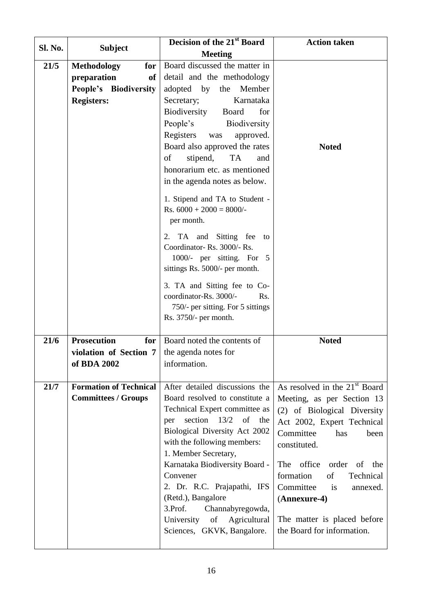| <b>Sl. No.</b> |                               | Decision of the 21 <sup>st</sup> Board                                                                                           | <b>Action taken</b>                       |
|----------------|-------------------------------|----------------------------------------------------------------------------------------------------------------------------------|-------------------------------------------|
|                | <b>Subject</b>                | <b>Meeting</b>                                                                                                                   |                                           |
| 21/5           | <b>Methodology</b><br>for     | Board discussed the matter in                                                                                                    |                                           |
|                | preparation<br>of             | detail and the methodology                                                                                                       |                                           |
|                | People's Biodiversity         | adopted by<br>the<br>Member                                                                                                      |                                           |
|                | <b>Registers:</b>             | Karnataka<br>Secretary;                                                                                                          |                                           |
|                |                               | Biodiversity<br>for<br>Board                                                                                                     |                                           |
|                |                               | People's<br>Biodiversity                                                                                                         |                                           |
|                |                               | Registers was<br>approved.                                                                                                       |                                           |
|                |                               | Board also approved the rates                                                                                                    | <b>Noted</b>                              |
|                |                               | stipend,<br><b>TA</b><br>of<br>and                                                                                               |                                           |
|                |                               | honorarium etc. as mentioned                                                                                                     |                                           |
|                |                               | in the agenda notes as below.                                                                                                    |                                           |
|                |                               | 1. Stipend and TA to Student -                                                                                                   |                                           |
|                |                               | Rs. $6000 + 2000 = 8000/$ -                                                                                                      |                                           |
|                |                               | per month.                                                                                                                       |                                           |
|                |                               | TA and Sitting fee to<br>2.                                                                                                      |                                           |
|                |                               | Coordinator-Rs. 3000/-Rs.                                                                                                        |                                           |
|                |                               | 1000/- per sitting. For 5                                                                                                        |                                           |
|                |                               | sittings Rs. 5000/- per month.                                                                                                   |                                           |
|                |                               | 3. TA and Sitting fee to Co-                                                                                                     |                                           |
|                |                               | coordinator-Rs. 3000/-<br>Rs.                                                                                                    |                                           |
|                |                               | 750/- per sitting. For 5 sittings                                                                                                |                                           |
|                |                               | Rs. 3750/- per month.                                                                                                            |                                           |
| 21/6           | <b>Prosecution</b><br>for     | Board noted the contents of                                                                                                      | <b>Noted</b>                              |
|                | violation of Section 7        | the agenda notes for                                                                                                             |                                           |
|                | of BDA 2002                   | information.                                                                                                                     |                                           |
|                |                               |                                                                                                                                  |                                           |
| 21/7           | <b>Formation of Technical</b> | After detailed discussions the                                                                                                   | As resolved in the 21 <sup>st</sup> Board |
|                | <b>Committees / Groups</b>    | Board resolved to constitute a                                                                                                   | Meeting, as per Section 13                |
|                |                               | Technical Expert committee as                                                                                                    | (2) of Biological Diversity               |
|                |                               | section<br>13/2<br>of the<br>per                                                                                                 | Act 2002, Expert Technical                |
|                |                               | Biological Diversity Act 2002                                                                                                    | Committee<br>has<br>been                  |
|                |                               | with the following members:                                                                                                      | constituted.                              |
|                |                               | 1. Member Secretary,                                                                                                             |                                           |
|                |                               | Karnataka Biodiversity Board -                                                                                                   | The office<br>order<br>of<br>the          |
|                |                               | Convener                                                                                                                         | of<br>formation<br>Technical              |
|                |                               | 2. Dr. R.C. Prajapathi, IFS<br>(Retd.), Bangalore                                                                                | Committee<br>is<br>annexed.               |
|                |                               | 3.Prof.<br>Channabyregowda,                                                                                                      | (Annexure-4)                              |
|                |                               | University<br>$% \left( \left( \mathcal{A},\mathcal{A}\right) \right) =\left( \mathcal{A},\mathcal{A}\right)$ of<br>Agricultural | The matter is placed before               |
|                |                               | Sciences, GKVK, Bangalore.                                                                                                       | the Board for information.                |
|                |                               |                                                                                                                                  |                                           |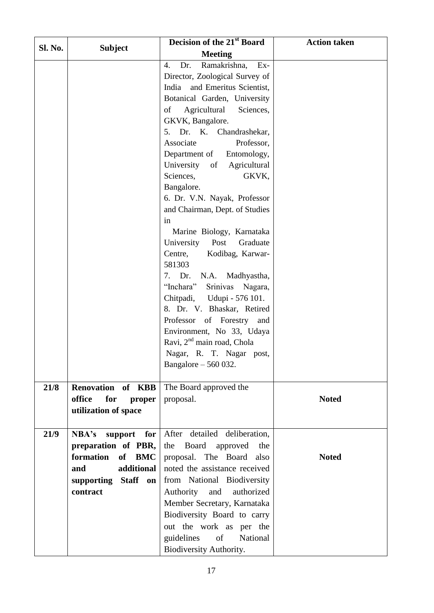|         | Decision of the 21 <sup>st</sup> Board | <b>Action taken</b>                                                 |              |
|---------|----------------------------------------|---------------------------------------------------------------------|--------------|
| Sl. No. | <b>Subject</b>                         | <b>Meeting</b>                                                      |              |
|         |                                        | Ex-<br>$\overline{4}$ .<br>Dr.<br>Ramakrishna,                      |              |
|         |                                        | Director, Zoological Survey of                                      |              |
|         |                                        | and Emeritus Scientist,<br>India                                    |              |
|         |                                        | Botanical Garden, University                                        |              |
|         |                                        | Agricultural<br>Sciences,<br>of                                     |              |
|         |                                        | GKVK, Bangalore.                                                    |              |
|         |                                        | Dr. K.<br>Chandrashekar,<br>5.                                      |              |
|         |                                        | Associate<br>Professor,                                             |              |
|         |                                        | Department of<br>Entomology,                                        |              |
|         |                                        | University of<br>Agricultural                                       |              |
|         |                                        | Sciences,<br>GKVK,                                                  |              |
|         |                                        | Bangalore.                                                          |              |
|         |                                        | 6. Dr. V.N. Nayak, Professor                                        |              |
|         |                                        | and Chairman, Dept. of Studies                                      |              |
|         |                                        | in                                                                  |              |
|         |                                        | Marine Biology, Karnataka                                           |              |
|         |                                        | University<br>Post<br>Graduate                                      |              |
|         |                                        | Centre,<br>Kodibag, Karwar-                                         |              |
|         |                                        | 581303                                                              |              |
|         |                                        | 7. Dr.<br>N.A. Madhyastha,                                          |              |
|         |                                        | "Inchara"<br>Srinivas<br>Nagara,                                    |              |
|         |                                        | Chitpadi, Udupi - 576 101.                                          |              |
|         |                                        | 8. Dr. V. Bhaskar, Retired                                          |              |
|         |                                        | Professor of Forestry and                                           |              |
|         |                                        | Environment, No 33, Udaya<br>Ravi, 2 <sup>nd</sup> main road, Chola |              |
|         |                                        | Nagar, R. T. Nagar post,                                            |              |
|         |                                        | Bangalore - 560 032.                                                |              |
|         |                                        |                                                                     |              |
| 21/8    | Renovation of KBB                      | The Board approved the                                              |              |
|         | office<br>for<br>proper                | proposal.                                                           | <b>Noted</b> |
|         | utilization of space                   |                                                                     |              |
|         |                                        |                                                                     |              |
| 21/9    | $NBA's$ support for                    | After detailed deliberation,                                        |              |
|         | preparation of PBR,                    | Board approved the<br>the                                           |              |
|         | formation<br>of BMC                    | proposal. The Board also                                            | <b>Noted</b> |
|         | additional<br>and                      | noted the assistance received                                       |              |
|         | supporting Staff on                    | from National Biodiversity                                          |              |
|         | contract                               | Authority<br>and<br>authorized                                      |              |
|         |                                        | Member Secretary, Karnataka                                         |              |
|         |                                        | Biodiversity Board to carry                                         |              |
|         |                                        | out the work as per the                                             |              |
|         |                                        | guidelines<br>of<br>National                                        |              |
|         |                                        | Biodiversity Authority.                                             |              |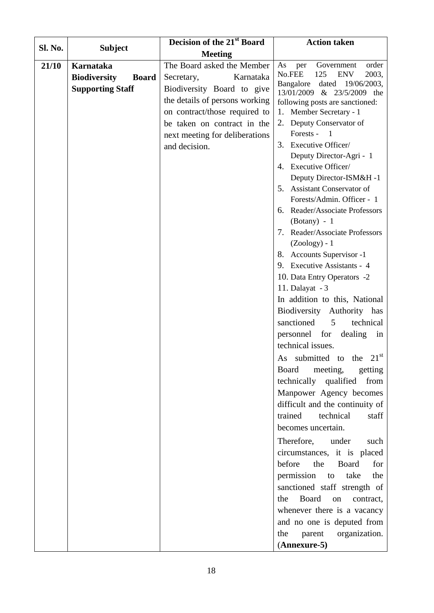|                |                                     | Decision of the 21 <sup>st</sup> Board | <b>Action taken</b>                                           |
|----------------|-------------------------------------|----------------------------------------|---------------------------------------------------------------|
| <b>Sl. No.</b> | <b>Subject</b>                      | <b>Meeting</b>                         |                                                               |
| 21/10          | Karnataka                           | The Board asked the Member             | As<br>Government<br>order<br>per                              |
|                | <b>Biodiversity</b><br><b>Board</b> | Karnataka<br>Secretary,                | 125<br><b>ENV</b><br>No.FEE<br>2003,                          |
|                | <b>Supporting Staff</b>             | Biodiversity Board to give             | Bangalore<br>dated 19/06/2003,                                |
|                |                                     | the details of persons working         | 13/01/2009 & 23/5/2009 the<br>following posts are sanctioned: |
|                |                                     | on contract/those required to          | 1. Member Secretary - 1                                       |
|                |                                     | be taken on contract in the            | 2. Deputy Conservator of                                      |
|                |                                     | next meeting for deliberations         | Forests - 1                                                   |
|                |                                     | and decision.                          | 3. Executive Officer/                                         |
|                |                                     |                                        | Deputy Director-Agri - 1                                      |
|                |                                     |                                        | 4. Executive Officer/                                         |
|                |                                     |                                        | Deputy Director-ISM&H-1                                       |
|                |                                     |                                        | 5. Assistant Conservator of                                   |
|                |                                     |                                        | Forests/Admin. Officer - 1                                    |
|                |                                     |                                        | 6. Reader/Associate Professors                                |
|                |                                     |                                        | $(Botany) - 1$                                                |
|                |                                     |                                        | 7. Reader/Associate Professors                                |
|                |                                     |                                        | $(Zoology) - 1$                                               |
|                |                                     |                                        | 8. Accounts Supervisor -1                                     |
|                |                                     |                                        | 9. Executive Assistants - 4                                   |
|                |                                     |                                        | 10. Data Entry Operators -2                                   |
|                |                                     |                                        | 11. Dalayat - 3                                               |
|                |                                     |                                        | In addition to this, National                                 |
|                |                                     |                                        | Biodiversity Authority has                                    |
|                |                                     |                                        | 5 <sup>5</sup><br>sanctioned<br>technical                     |
|                |                                     |                                        | personnel for dealing in                                      |
|                |                                     |                                        | technical issues.                                             |
|                |                                     |                                        | As submitted to the $21^{st}$                                 |
|                |                                     |                                        | Board<br>meeting,<br>getting                                  |
|                |                                     |                                        | technically qualified from                                    |
|                |                                     |                                        | Manpower Agency becomes                                       |
|                |                                     |                                        | difficult and the continuity of                               |
|                |                                     |                                        | technical<br>trained<br>staff                                 |
|                |                                     |                                        | becomes uncertain.                                            |
|                |                                     |                                        | Therefore,<br>under<br>such                                   |
|                |                                     |                                        | circumstances, it is placed                                   |
|                |                                     |                                        | Board<br>before<br>the<br>for                                 |
|                |                                     |                                        | permission<br>take<br>the<br>to                               |
|                |                                     |                                        | sanctioned staff strength of                                  |
|                |                                     |                                        | the Board<br>on contract,                                     |
|                |                                     |                                        | whenever there is a vacancy                                   |
|                |                                     |                                        | and no one is deputed from                                    |
|                |                                     |                                        | organization.<br>parent<br>the                                |
|                |                                     |                                        | (Annexure-5)                                                  |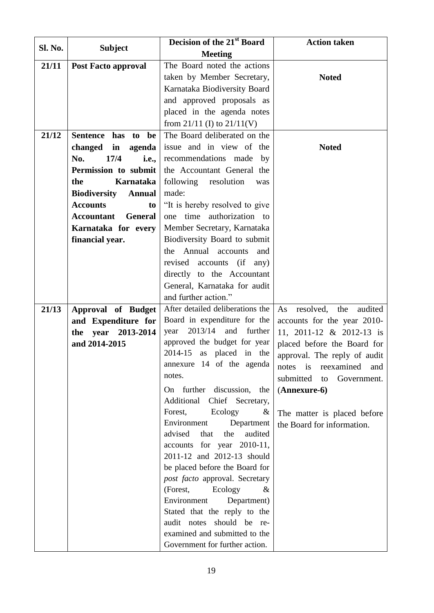| <b>Sl. No.</b> |                                           | Decision of the 21 <sup>st</sup> Board                            | <b>Action taken</b>                                     |
|----------------|-------------------------------------------|-------------------------------------------------------------------|---------------------------------------------------------|
|                | <b>Subject</b>                            | <b>Meeting</b>                                                    |                                                         |
| 21/11          | <b>Post Facto approval</b>                | The Board noted the actions                                       |                                                         |
|                |                                           | taken by Member Secretary,                                        | <b>Noted</b>                                            |
|                |                                           | Karnataka Biodiversity Board                                      |                                                         |
|                |                                           | and approved proposals as                                         |                                                         |
|                |                                           | placed in the agenda notes                                        |                                                         |
|                |                                           | from 21/11 (I) to $21/11$ (V)                                     |                                                         |
| 21/12          | be<br><b>Sentence</b><br>has<br>to        | The Board deliberated on the                                      |                                                         |
|                | changed<br>in<br>agenda                   | issue and in view of the                                          | <b>Noted</b>                                            |
|                | No.<br>17/4<br><i>i.e.,</i>               | recommendations made by                                           |                                                         |
|                | Permission to submit                      | the Accountant General the                                        |                                                         |
|                | the<br>Karnataka                          | following resolution<br>was                                       |                                                         |
|                | <b>Biodiversity</b><br><b>Annual</b>      | made:                                                             |                                                         |
|                | <b>Accounts</b><br>to                     | "It is hereby resolved to give                                    |                                                         |
|                | <b>Accountant</b><br><b>General</b>       | one time authorization to                                         |                                                         |
|                | Karnataka for every                       | Member Secretary, Karnataka                                       |                                                         |
|                | financial year.                           | Biodiversity Board to submit                                      |                                                         |
|                |                                           | the Annual accounts<br>and                                        |                                                         |
|                |                                           | revised accounts<br>(i f)<br>any)                                 |                                                         |
|                |                                           | directly to the Accountant                                        |                                                         |
|                |                                           | General, Karnataka for audit                                      |                                                         |
|                |                                           | and further action."                                              |                                                         |
| 21/13          | Approval of Budget                        | After detailed deliberations the                                  | audited<br>resolved,<br>the<br>As                       |
|                | and Expenditure for                       | Board in expenditure for the<br>2013/14<br>and<br>further<br>year | accounts for the year 2010-<br>11, 2011-12 & 2012-13 is |
|                | year<br>2013-2014<br>the<br>and 2014-2015 | approved the budget for year                                      | placed before the Board for                             |
|                |                                           | 2014-15 as placed in the                                          | approval. The reply of audit                            |
|                |                                           | annexure 14 of the agenda                                         | reexamined<br>$\frac{1}{1}$<br>notes<br>and             |
|                |                                           | notes.                                                            | submitted<br>Government.<br>to                          |
|                |                                           | On further discussion,<br>the                                     | (Annexure-6)                                            |
|                |                                           | Additional<br>Chief Secretary,                                    |                                                         |
|                |                                           | Forest,<br>Ecology<br>&                                           | The matter is placed before                             |
|                |                                           | Environment<br>Department                                         | the Board for information.                              |
|                |                                           | audited<br>advised<br>that<br>the                                 |                                                         |
|                |                                           | accounts for year 2010-11,                                        |                                                         |
|                |                                           | 2011-12 and 2012-13 should                                        |                                                         |
|                |                                           | be placed before the Board for                                    |                                                         |
|                |                                           | post facto approval. Secretary                                    |                                                         |
|                |                                           | Ecology<br>(Forest,<br>&                                          |                                                         |
|                |                                           | Environment<br>Department)                                        |                                                         |
|                |                                           | Stated that the reply to the                                      |                                                         |
|                |                                           | audit notes should be re-                                         |                                                         |
|                |                                           | examined and submitted to the                                     |                                                         |
|                |                                           | Government for further action.                                    |                                                         |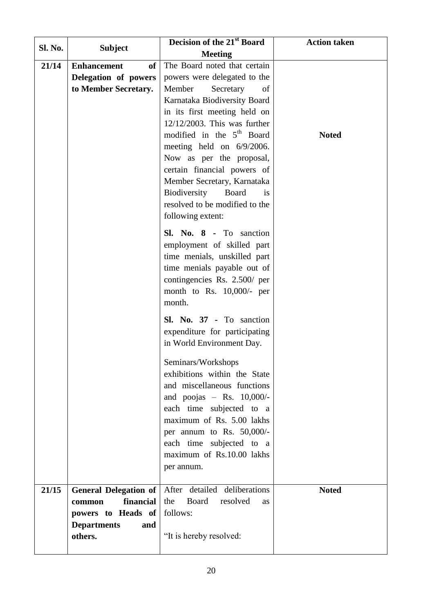| <b>Sl. No.</b> | <b>Subject</b>               | Decision of the 21st Board                                           | <b>Action taken</b> |
|----------------|------------------------------|----------------------------------------------------------------------|---------------------|
|                |                              | <b>Meeting</b>                                                       |                     |
| 21/14          | <b>Enhancement</b><br>of     | The Board noted that certain                                         |                     |
|                | Delegation of powers         | powers were delegated to the                                         |                     |
|                | to Member Secretary.         | Member<br>Secretary<br>of                                            |                     |
|                |                              | Karnataka Biodiversity Board                                         |                     |
|                |                              | in its first meeting held on                                         |                     |
|                |                              | $12/12/2003$ . This was further                                      |                     |
|                |                              | modified in the 5 <sup>th</sup> Board                                | <b>Noted</b>        |
|                |                              | meeting held on 6/9/2006.                                            |                     |
|                |                              | Now as per the proposal,                                             |                     |
|                |                              | certain financial powers of                                          |                     |
|                |                              | Member Secretary, Karnataka                                          |                     |
|                |                              | Biodiversity<br>Board<br><i>is</i><br>resolved to be modified to the |                     |
|                |                              | following extent:                                                    |                     |
|                |                              |                                                                      |                     |
|                |                              | Sl. No. 8 - To sanction                                              |                     |
|                |                              | employment of skilled part                                           |                     |
|                |                              | time menials, unskilled part                                         |                     |
|                |                              | time menials payable out of                                          |                     |
|                |                              | contingencies Rs. 2.500/ per<br>month to Rs. 10,000/- per            |                     |
|                |                              | month.                                                               |                     |
|                |                              |                                                                      |                     |
|                |                              | Sl. No. 37 - To sanction                                             |                     |
|                |                              | expenditure for participating                                        |                     |
|                |                              | in World Environment Day.                                            |                     |
|                |                              | Seminars/Workshops                                                   |                     |
|                |                              | exhibitions within the State                                         |                     |
|                |                              | and miscellaneous functions                                          |                     |
|                |                              | and poojas $-$ Rs. 10,000/-                                          |                     |
|                |                              | each time subjected to a                                             |                     |
|                |                              | maximum of Rs. 5.00 lakhs                                            |                     |
|                |                              | per annum to Rs. 50,000/-<br>each time subjected to a                |                     |
|                |                              | maximum of Rs.10.00 lakhs                                            |                     |
|                |                              | per annum.                                                           |                     |
|                |                              |                                                                      |                     |
| 21/15          | <b>General Delegation of</b> | After detailed deliberations                                         | <b>Noted</b>        |
|                | financial<br>common          | Board<br>the<br>resolved<br><b>as</b>                                |                     |
|                | powers to Heads of           | follows:                                                             |                     |
|                | <b>Departments</b><br>and    |                                                                      |                     |
|                | others.                      | "It is hereby resolved:                                              |                     |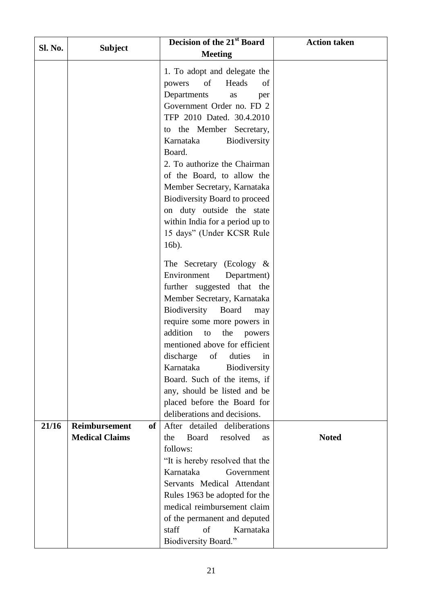| Sl. No. | <b>Subject</b>                          | Decision of the 21st Board            | <b>Action taken</b> |
|---------|-----------------------------------------|---------------------------------------|---------------------|
|         |                                         | <b>Meeting</b>                        |                     |
|         |                                         | 1. To adopt and delegate the          |                     |
|         |                                         | of<br>Heads<br>powers<br>of           |                     |
|         |                                         | Departments<br>as<br>per              |                     |
|         |                                         | Government Order no. FD 2             |                     |
|         |                                         | TFP 2010 Dated. 30.4.2010             |                     |
|         |                                         | to the Member Secretary,              |                     |
|         |                                         | Karnataka<br>Biodiversity             |                     |
|         |                                         | Board.                                |                     |
|         |                                         | 2. To authorize the Chairman          |                     |
|         |                                         | of the Board, to allow the            |                     |
|         |                                         | Member Secretary, Karnataka           |                     |
|         |                                         | Biodiversity Board to proceed         |                     |
|         |                                         | on duty outside the state             |                     |
|         |                                         | within India for a period up to       |                     |
|         |                                         | 15 days" (Under KCSR Rule             |                     |
|         |                                         | 16b).                                 |                     |
|         |                                         | The Secretary (Ecology $\&$           |                     |
|         |                                         | Environment<br>Department)            |                     |
|         |                                         | further suggested that the            |                     |
|         |                                         | Member Secretary, Karnataka           |                     |
|         |                                         | Biodiversity<br>Board<br>may          |                     |
|         |                                         | require some more powers in           |                     |
|         |                                         | addition<br>the<br>to<br>powers       |                     |
|         |                                         | mentioned above for efficient         |                     |
|         |                                         | of<br>discharge<br>duties<br>in       |                     |
|         |                                         | Karnataka<br>Biodiversity             |                     |
|         |                                         | Board. Such of the items, if          |                     |
|         |                                         | any, should be listed and be          |                     |
|         |                                         | placed before the Board for           |                     |
|         |                                         | deliberations and decisions.          |                     |
| 21/16   | <b>Reimbursement</b><br>of <sub>1</sub> | After detailed deliberations          |                     |
|         | <b>Medical Claims</b>                   | the<br>Board<br>resolved<br><b>as</b> | <b>Noted</b>        |
|         |                                         | follows:                              |                     |
|         |                                         | "It is hereby resolved that the       |                     |
|         |                                         | Karnataka<br>Government               |                     |
|         |                                         | Servants Medical Attendant            |                     |
|         |                                         | Rules 1963 be adopted for the         |                     |
|         |                                         | medical reimbursement claim           |                     |
|         |                                         | of the permanent and deputed          |                     |
|         |                                         | of<br>staff<br>Karnataka              |                     |
|         |                                         | Biodiversity Board."                  |                     |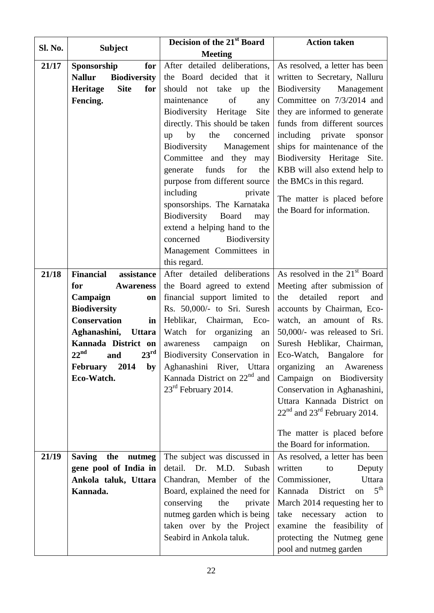|         |                                          | Decision of the 21 <sup>st</sup> Board                 | <b>Action taken</b>                                   |
|---------|------------------------------------------|--------------------------------------------------------|-------------------------------------------------------|
| Sl. No. | <b>Subject</b>                           | <b>Meeting</b>                                         |                                                       |
| 21/17   | Sponsorship<br>for                       | After detailed deliberations,                          | As resolved, a letter has been                        |
|         | <b>Nallur</b><br><b>Biodiversity</b>     | the Board decided that it                              | written to Secretary, Nalluru                         |
|         | <b>Site</b><br>for<br>Heritage           | should not take up the                                 | Biodiversity Management                               |
|         | Fencing.                                 | of<br>maintenance<br>any                               | Committee on 7/3/2014 and                             |
|         |                                          | Biodiversity Heritage<br>Site                          | they are informed to generate                         |
|         |                                          | directly. This should be taken                         | funds from different sources                          |
|         |                                          | by<br>the<br>up<br>concerned                           | including private<br>sponsor                          |
|         |                                          | Biodiversity<br>Management                             | ships for maintenance of the                          |
|         |                                          | Committee and<br>they may                              | Biodiversity Heritage Site.                           |
|         |                                          | for<br>funds<br>the<br>generate                        | KBB will also extend help to                          |
|         |                                          | purpose from different source                          | the BMCs in this regard.                              |
|         |                                          | including<br>private                                   | The matter is placed before                           |
|         |                                          | sponsorships. The Karnataka                            | the Board for information.                            |
|         |                                          | Biodiversity Board<br>may                              |                                                       |
|         |                                          | extend a helping hand to the<br>concerned Biodiversity |                                                       |
|         |                                          | Management Committees in                               |                                                       |
|         |                                          | this regard.                                           |                                                       |
| 21/18   | <b>Financial</b><br>assistance           | After detailed deliberations                           | As resolved in the $21st$ Board                       |
|         | for<br><b>Awareness</b>                  | the Board agreed to extend                             | Meeting after submission of                           |
|         | Campaign<br>on                           | financial support limited to                           | detailed<br>the<br>report<br>and                      |
|         | <b>Biodiversity</b>                      | Rs. 50,000/- to Sri. Suresh                            | accounts by Chairman, Eco-                            |
|         | <b>Conservation</b><br>in                | Heblikar, Chairman, Eco-                               | watch, an amount of Rs.                               |
|         | Aghanashini,<br><b>Uttara</b>            | Watch for organizing<br>an                             | 50,000/- was released to Sri.                         |
|         | Kannada District on                      | campaign<br>awareness<br>on                            | Suresh Heblikar, Chairman,                            |
|         | $22^{\text{nd}}$<br>$23^{\rm rd}$<br>and |                                                        | Biodiversity Conservation in Eco-Watch, Bangalore for |
|         | February<br>2014<br>by                   | Aghanashini River, Uttara                              | Awareness<br>organizing<br>an                         |
|         | Eco-Watch.                               | Kannada District on 22 <sup>nd</sup> and               | Campaign on Biodiversity                              |
|         |                                          | 23 <sup>rd</sup> February 2014.                        | Conservation in Aghanashini,                          |
|         |                                          |                                                        | Uttara Kannada District on                            |
|         |                                          |                                                        | $22nd$ and $23rd$ February 2014.                      |
|         |                                          |                                                        | The matter is placed before                           |
|         |                                          |                                                        | the Board for information.                            |
| 21/19   | <b>Saving</b><br>the<br>nutmeg           | The subject was discussed in                           | As resolved, a letter has been                        |
|         | gene pool of India in                    | detail.<br>Dr.<br>M.D.<br>Subash                       | written<br>Deputy<br>to                               |
|         | Ankola taluk, Uttara                     | Chandran, Member of the                                | Commissioner,<br>Uttara                               |
|         | Kannada.                                 | Board, explained the need for                          | 5 <sup>th</sup><br>Kannada District<br>on             |
|         |                                          | conserving<br>the<br>private                           | March 2014 requesting her to                          |
|         |                                          | nutmeg garden which is being                           | take necessary<br>action<br>to                        |
|         |                                          | taken over by the Project                              | examine the feasibility of                            |
|         |                                          | Seabird in Ankola taluk.                               | protecting the Nutmeg gene                            |
|         |                                          |                                                        | pool and nutmeg garden                                |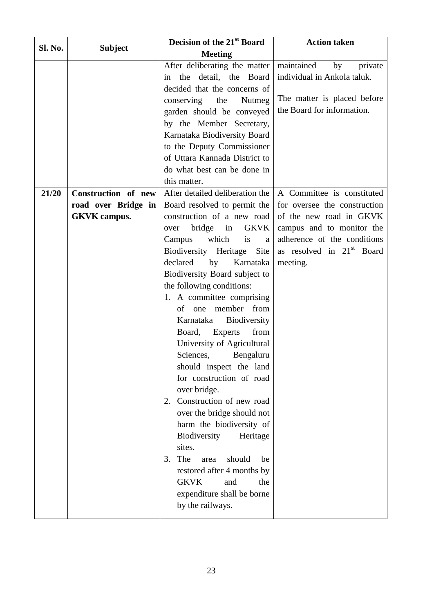| Sl. No. | <b>Subject</b>      | Decision of the 21 <sup>st</sup> Board                                                                                                                                                                                                                                                                                                                                                                                                                                                                                                                                                                                                                                                                                                                                      | <b>Action taken</b>                                                                                                                      |
|---------|---------------------|-----------------------------------------------------------------------------------------------------------------------------------------------------------------------------------------------------------------------------------------------------------------------------------------------------------------------------------------------------------------------------------------------------------------------------------------------------------------------------------------------------------------------------------------------------------------------------------------------------------------------------------------------------------------------------------------------------------------------------------------------------------------------------|------------------------------------------------------------------------------------------------------------------------------------------|
|         |                     | <b>Meeting</b>                                                                                                                                                                                                                                                                                                                                                                                                                                                                                                                                                                                                                                                                                                                                                              |                                                                                                                                          |
|         |                     | After deliberating the matter<br>in the detail, the Board<br>decided that the concerns of<br>conserving<br>the<br>Nutmeg<br>garden should be conveyed<br>by the Member Secretary,<br>Karnataka Biodiversity Board<br>to the Deputy Commissioner<br>of Uttara Kannada District to<br>do what best can be done in<br>this matter.                                                                                                                                                                                                                                                                                                                                                                                                                                             | maintained<br>private<br>by<br>individual in Ankola taluk.<br>The matter is placed before<br>the Board for information.                  |
| 21/20   | Construction of new | After detailed deliberation the                                                                                                                                                                                                                                                                                                                                                                                                                                                                                                                                                                                                                                                                                                                                             | A Committee is constituted                                                                                                               |
|         | road over Bridge in | Board resolved to permit the                                                                                                                                                                                                                                                                                                                                                                                                                                                                                                                                                                                                                                                                                                                                                | for oversee the construction                                                                                                             |
|         | <b>GKVK</b> campus. | construction of a new road<br><b>GKVK</b><br>bridge<br>in<br>over<br>which<br>Campus<br>is<br>a<br>Biodiversity Heritage<br>Site<br>declared<br>by<br>Karnataka<br>Biodiversity Board subject to<br>the following conditions:<br>1. A committee comprising<br>of one member from<br>Karnataka<br><b>Biodiversity</b><br>from<br>Board,<br><b>Experts</b><br>University of Agricultural<br>Sciences,<br>Bengaluru<br>should inspect the land<br>for construction of road<br>over bridge.<br>Construction of new road<br>2.<br>over the bridge should not<br>harm the biodiversity of<br>Biodiversity<br>Heritage<br>sites.<br>The<br>should<br>3.<br>be<br>area<br>restored after 4 months by<br><b>GKVK</b><br>and<br>the<br>expenditure shall be borne<br>by the railways. | of the new road in GKVK<br>campus and to monitor the<br>adherence of the conditions<br>as resolved in 21 <sup>st</sup> Board<br>meeting. |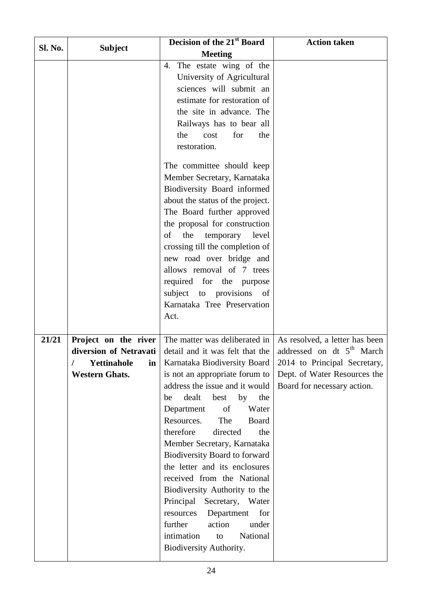| <b>Sl. No.</b> | <b>Subject</b>           | Decision of the 21 <sup>st</sup> Board                                                                                                                                                                                                                                                                                                                                                                                                                                                                                             | <b>Action taken</b>                                         |
|----------------|--------------------------|------------------------------------------------------------------------------------------------------------------------------------------------------------------------------------------------------------------------------------------------------------------------------------------------------------------------------------------------------------------------------------------------------------------------------------------------------------------------------------------------------------------------------------|-------------------------------------------------------------|
|                |                          | <b>Meeting</b>                                                                                                                                                                                                                                                                                                                                                                                                                                                                                                                     |                                                             |
|                |                          | The estate wing of the<br>4.<br>University of Agricultural<br>sciences will submit an<br>estimate for restoration of<br>the site in advance. The<br>Railways has to bear all<br>the<br>cost<br>for<br>the<br>restoration.                                                                                                                                                                                                                                                                                                          |                                                             |
|                |                          | The committee should keep<br>Member Secretary, Karnataka<br>Biodiversity Board informed<br>about the status of the project.<br>The Board further approved<br>the proposal for construction<br>the<br>of<br>temporary<br>level<br>crossing till the completion of<br>new road over bridge and<br>allows removal of 7 trees<br>required for the purpose<br>subject to provisions of<br>Karnataka Tree Preservation<br>Act.                                                                                                           |                                                             |
| 21/21          | Project on the river     | The matter was deliberated in                                                                                                                                                                                                                                                                                                                                                                                                                                                                                                      | As resolved, a letter has been                              |
|                | diversion of Netravati   | detail and it was felt that the                                                                                                                                                                                                                                                                                                                                                                                                                                                                                                    | addressed on dt 5 <sup>th</sup> March                       |
|                | <b>Yettinahole</b><br>ın | Karnataka Biodiversity Board                                                                                                                                                                                                                                                                                                                                                                                                                                                                                                       | 2014 to Principal Secretary,                                |
|                | <b>Western Ghats.</b>    | is not an appropriate forum to<br>address the issue and it would<br>dealt<br>by<br>the<br>best<br>be<br>of<br>Water<br>Department<br>Resources.<br>The<br><b>Board</b><br>therefore<br>directed<br>the<br>Member Secretary, Karnataka<br>Biodiversity Board to forward<br>the letter and its enclosures<br>received from the National<br>Biodiversity Authority to the<br>Principal<br>Secretary, Water<br>Department<br>for<br>resources<br>further<br>action<br>under<br>intimation<br>National<br>to<br>Biodiversity Authority. | Dept. of Water Resources the<br>Board for necessary action. |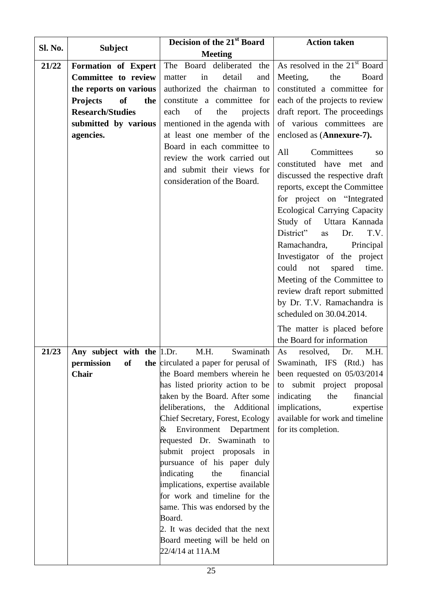| Sl. No. | <b>Subject</b>                         | Decision of the 21 <sup>st</sup> Board                     | <b>Action taken</b>                 |
|---------|----------------------------------------|------------------------------------------------------------|-------------------------------------|
|         |                                        | <b>Meeting</b>                                             |                                     |
| 21/22   | Formation of Expert                    | The Board deliberated the                                  | As resolved in the $21st$ Board     |
|         | Committee to review                    | in<br>detail<br>matter<br>and                              | Meeting,<br>the<br>Board            |
|         | the reports on various                 | authorized the chairman to                                 | constituted a committee for         |
|         | <b>Projects</b><br><b>of</b><br>the    | constitute a committee for                                 | each of the projects to review      |
|         | <b>Research/Studies</b>                | each<br>of<br>the<br>projects                              | draft report. The proceedings       |
|         | submitted by various                   | mentioned in the agenda with                               | of various committees are           |
|         | agencies.                              | at least one member of the                                 | enclosed as (Annexure-7).           |
|         |                                        | Board in each committee to                                 | Committees<br>All<br><sub>SO</sub>  |
|         |                                        | review the work carried out                                | constituted have met<br>and         |
|         |                                        | and submit their views for                                 | discussed the respective draft      |
|         |                                        | consideration of the Board.                                | reports, except the Committee       |
|         |                                        |                                                            | for project on "Integrated          |
|         |                                        |                                                            | <b>Ecological Carrying Capacity</b> |
|         |                                        |                                                            | Study of Uttara Kannada             |
|         |                                        |                                                            | District"<br>Dr.<br>T.V.<br>as      |
|         |                                        |                                                            | Ramachandra,<br>Principal           |
|         |                                        |                                                            | Investigator of the project         |
|         |                                        |                                                            | could<br>not<br>spared<br>time.     |
|         |                                        |                                                            | Meeting of the Committee to         |
|         |                                        |                                                            | review draft report submitted       |
|         |                                        |                                                            | by Dr. T.V. Ramachandra is          |
|         |                                        |                                                            | scheduled on 30.04.2014.            |
|         |                                        |                                                            | The matter is placed before         |
|         |                                        |                                                            | the Board for information           |
| 21/23   | Any subject with the $ 1 \text{.} Dr.$ | Swaminath<br>M.H.                                          | As<br>resolved,<br>Dr.<br>M.H.      |
|         |                                        | <b>permission</b> of the circulated a paper for perusal of | Swaminath, IFS (Rtd.) has           |
|         | Chair                                  | the Board members wherein he                               | been requested on $05/03/2014$      |
|         |                                        | has listed priority action to be                           | to submit project proposal          |
|         |                                        | taken by the Board. After some                             | indicating<br>the<br>financial      |
|         |                                        | deliberations,<br>the<br>Additional                        | implications,<br>expertise          |
|         |                                        | Chief Secretary, Forest, Ecology                           | available for work and timeline     |
|         |                                        | Environment Department<br>&                                | for its completion.                 |
|         |                                        | requested Dr. Swaminath to                                 |                                     |
|         |                                        | submit project proposals in                                |                                     |
|         |                                        | pursuance of his paper duly                                |                                     |
|         |                                        | indicating<br>the<br>financial                             |                                     |
|         |                                        | implications, expertise available                          |                                     |
|         |                                        | for work and timeline for the                              |                                     |
|         |                                        | same. This was endorsed by the<br>Board.                   |                                     |
|         |                                        | 2. It was decided that the next                            |                                     |
|         |                                        | Board meeting will be held on                              |                                     |
|         |                                        | 22/4/14 at 11A.M                                           |                                     |
|         |                                        |                                                            |                                     |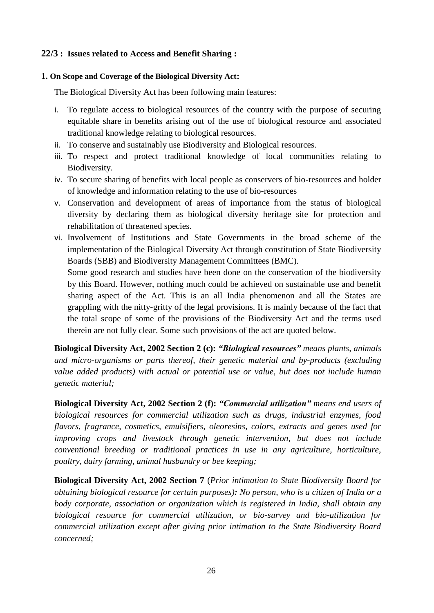#### **22/3 : Issues related to Access and Benefit Sharing :**

#### **1. On Scope and Coverage of the Biological Diversity Act:**

The Biological Diversity Act has been following main features:

- i. To regulate access to biological resources of the country with the purpose of securing equitable share in benefits arising out of the use of biological resource and associated traditional knowledge relating to biological resources.
- ii. To conserve and sustainably use Biodiversity and Biological resources.
- iii. To respect and protect traditional knowledge of local communities relating to Biodiversity.
- iv. To secure sharing of benefits with local people as conservers of bio-resources and holder of knowledge and information relating to the use of bio-resources
- v. Conservation and development of areas of importance from the status of biological diversity by declaring them as biological diversity heritage site for protection and rehabilitation of threatened species.
- vi. Involvement of Institutions and State Governments in the broad scheme of the implementation of the Biological Diversity Act through constitution of State Biodiversity Boards (SBB) and Biodiversity Management Committees (BMC).

Some good research and studies have been done on the conservation of the biodiversity by this Board. However, nothing much could be achieved on sustainable use and benefit sharing aspect of the Act. This is an all India phenomenon and all the States are grappling with the nitty-gritty of the legal provisions. It is mainly because of the fact that the total scope of some of the provisions of the Biodiversity Act and the terms used therein are not fully clear. Some such provisions of the act are quoted below.

**Biological Diversity Act, 2002 Section 2 (c):** *"Biological resources" means plants, animals and micro-organisms or parts thereof, their genetic material and by-products (excluding value added products) with actual or potential use or value, but does not include human genetic material;*

**Biological Diversity Act, 2002 Section 2 (f):** *"Commercial utilization" means end users of biological resources for commercial utilization such as drugs, industrial enzymes, food flavors, fragrance, cosmetics, emulsifiers, oleoresins, colors, extracts and genes used for improving crops and livestock through genetic intervention, but does not include conventional breeding or traditional practices in use in any agriculture, horticulture, poultry, dairy farming, animal husbandry or bee keeping;*

**Biological Diversity Act, 2002 Section 7** (*Prior intimation to State Biodiversity Board for obtaining biological resource for certain purposes): No person, who is a citizen of India or a body corporate, association or organization which is registered in India, shall obtain any biological resource for commercial utilization, or bio-survey and bio-utilization for commercial utilization except after giving prior intimation to the State Biodiversity Board concerned;*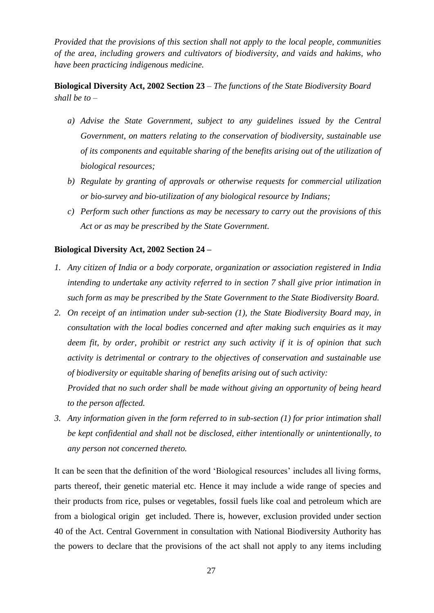*Provided that the provisions of this section shall not apply to the local people, communities of the area, including growers and cultivators of biodiversity, and vaids and hakims, who have been practicing indigenous medicine.*

**Biological Diversity Act, 2002 Section 23** – *The functions of the State Biodiversity Board shall be to –*

- *a) Advise the State Government, subject to any guidelines issued by the Central Government, on matters relating to the conservation of biodiversity, sustainable use of its components and equitable sharing of the benefits arising out of the utilization of biological resources;*
- *b) Regulate by granting of approvals or otherwise requests for commercial utilization or bio-survey and bio-utilization of any biological resource by Indians;*
- *c) Perform such other functions as may be necessary to carry out the provisions of this Act or as may be prescribed by the State Government.*

#### **Biological Diversity Act, 2002 Section 24 –**

- *1. Any citizen of India or a body corporate, organization or association registered in India intending to undertake any activity referred to in section 7 shall give prior intimation in such form as may be prescribed by the State Government to the State Biodiversity Board.*
- *2. On receipt of an intimation under sub-section (1), the State Biodiversity Board may, in consultation with the local bodies concerned and after making such enquiries as it may deem fit, by order, prohibit or restrict any such activity if it is of opinion that such activity is detrimental or contrary to the objectives of conservation and sustainable use of biodiversity or equitable sharing of benefits arising out of such activity: Provided that no such order shall be made without giving an opportunity of being heard*

*to the person affected.*

*3. Any information given in the form referred to in sub-section (1) for prior intimation shall be kept confidential and shall not be disclosed, either intentionally or unintentionally, to any person not concerned thereto.*

It can be seen that the definition of the word 'Biological resources' includes all living forms, parts thereof, their genetic material etc. Hence it may include a wide range of species and their products from rice, pulses or vegetables, fossil fuels like coal and petroleum which are from a biological origin get included. There is, however, exclusion provided under section 40 of the Act. Central Government in consultation with National Biodiversity Authority has the powers to declare that the provisions of the act shall not apply to any items including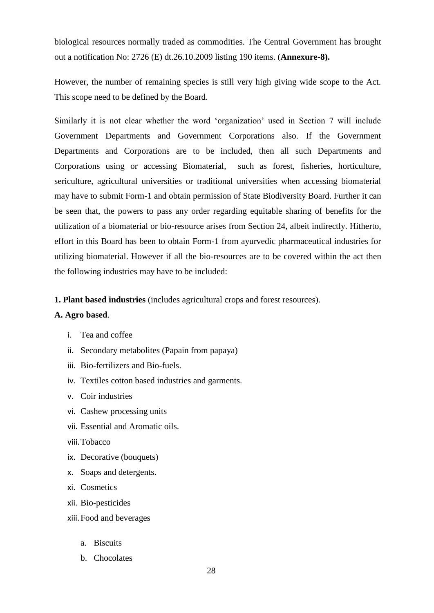biological resources normally traded as commodities. The Central Government has brought out a notification No: 2726 (E) dt.26.10.2009 listing 190 items. (**Annexure-8).**

However, the number of remaining species is still very high giving wide scope to the Act. This scope need to be defined by the Board.

Similarly it is not clear whether the word 'organization' used in Section 7 will include Government Departments and Government Corporations also. If the Government Departments and Corporations are to be included, then all such Departments and Corporations using or accessing Biomaterial, such as forest, fisheries, horticulture, sericulture, agricultural universities or traditional universities when accessing biomaterial may have to submit Form-1 and obtain permission of State Biodiversity Board. Further it can be seen that, the powers to pass any order regarding equitable sharing of benefits for the utilization of a biomaterial or bio-resource arises from Section 24, albeit indirectly. Hitherto, effort in this Board has been to obtain Form-1 from ayurvedic pharmaceutical industries for utilizing biomaterial. However if all the bio-resources are to be covered within the act then the following industries may have to be included:

**1. Plant based industries** (includes agricultural crops and forest resources).

#### **A. Agro based**.

- i. Tea and coffee
- ii. Secondary metabolites (Papain from papaya)
- iii. Bio-fertilizers and Bio-fuels.
- iv. Textiles cotton based industries and garments.
- v. Coir industries
- vi. Cashew processing units
- vii. Essential and Aromatic oils.
- viii.Tobacco
- ix. Decorative (bouquets)
- x. Soaps and detergents.
- xi. Cosmetics
- xii. Bio-pesticides
- xiii.Food and beverages
	- a. Biscuits
	- b. Chocolates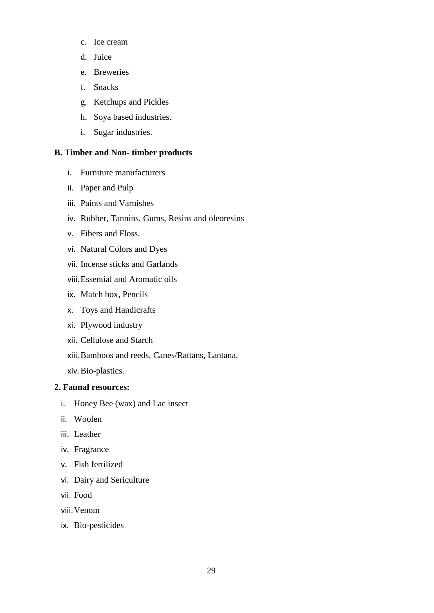- c. Ice cream
- d. Juice
- e. Breweries
- f. Snacks
- g. Ketchups and Pickles
- h. Soya based industries.
- i. Sugar industries.

#### **B. Timber and Non- timber products**

- i. Furniture manufacturers
- ii. Paper and Pulp
- iii. Paints and Varnishes
- iv. Rubber, Tannins, Gums, Resins and oleoresins
- v. Fibers and Floss.
- vi. Natural Colors and Dyes
- vii. Incense sticks and Garlands
- viii.Essential and Aromatic oils
- ix. Match box, Pencils
- x. Toys and Handicrafts
- xi. Plywood industry
- xii. Cellulose and Starch
- xiii.Bamboos and reeds, Canes/Rattans, Lantana.
- xiv.Bio-plastics.

#### **2. Faunal resources:**

- i. Honey Bee (wax) and Lac insect
- ii. Woolen
- iii. Leather
- iv. Fragrance
- v. Fish fertilized
- vi. Dairy and Sericulture
- vii. Food
- viii.Venom
- ix. Bio-pesticides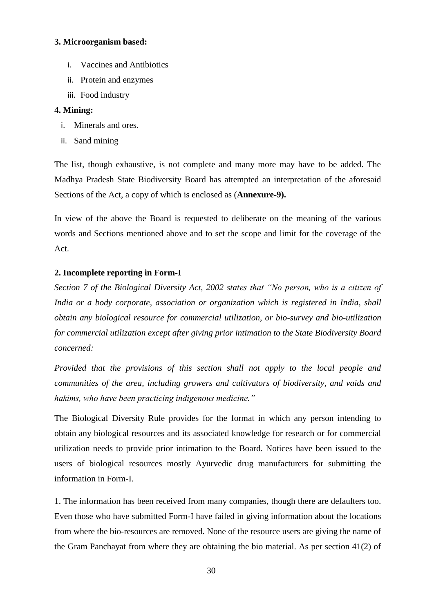#### **3. Microorganism based:**

- i. Vaccines and Antibiotics
- ii. Protein and enzymes
- iii. Food industry

#### **4. Mining:**

- i. Minerals and ores.
- ii. Sand mining

The list, though exhaustive, is not complete and many more may have to be added. The Madhya Pradesh State Biodiversity Board has attempted an interpretation of the aforesaid Sections of the Act, a copy of which is enclosed as (**Annexure-9).**

In view of the above the Board is requested to deliberate on the meaning of the various words and Sections mentioned above and to set the scope and limit for the coverage of the Act.

### **2. Incomplete reporting in Form-I**

*Section 7 of the Biological Diversity Act, 2002 states that "No person, who is a citizen of India or a body corporate, association or organization which is registered in India, shall obtain any biological resource for commercial utilization, or bio-survey and bio-utilization for commercial utilization except after giving prior intimation to the State Biodiversity Board concerned:*

*Provided that the provisions of this section shall not apply to the local people and communities of the area, including growers and cultivators of biodiversity, and vaids and hakims, who have been practicing indigenous medicine."*

The Biological Diversity Rule provides for the format in which any person intending to obtain any biological resources and its associated knowledge for research or for commercial utilization needs to provide prior intimation to the Board. Notices have been issued to the users of biological resources mostly Ayurvedic drug manufacturers for submitting the information in Form-I.

1. The information has been received from many companies, though there are defaulters too. Even those who have submitted Form-I have failed in giving information about the locations from where the bio-resources are removed. None of the resource users are giving the name of the Gram Panchayat from where they are obtaining the bio material. As per section 41(2) of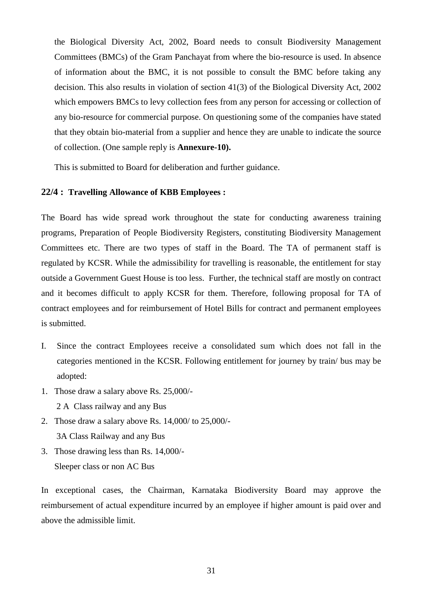the Biological Diversity Act, 2002, Board needs to consult Biodiversity Management Committees (BMCs) of the Gram Panchayat from where the bio-resource is used. In absence of information about the BMC, it is not possible to consult the BMC before taking any decision. This also results in violation of section 41(3) of the Biological Diversity Act, 2002 which empowers BMCs to levy collection fees from any person for accessing or collection of any bio-resource for commercial purpose. On questioning some of the companies have stated that they obtain bio-material from a supplier and hence they are unable to indicate the source of collection. (One sample reply is **Annexure-10).**

This is submitted to Board for deliberation and further guidance.

#### **22/4 : Travelling Allowance of KBB Employees :**

The Board has wide spread work throughout the state for conducting awareness training programs, Preparation of People Biodiversity Registers, constituting Biodiversity Management Committees etc. There are two types of staff in the Board. The TA of permanent staff is regulated by KCSR. While the admissibility for travelling is reasonable, the entitlement for stay outside a Government Guest House is too less. Further, the technical staff are mostly on contract and it becomes difficult to apply KCSR for them. Therefore, following proposal for TA of contract employees and for reimbursement of Hotel Bills for contract and permanent employees is submitted.

- I. Since the contract Employees receive a consolidated sum which does not fall in the categories mentioned in the KCSR. Following entitlement for journey by train/ bus may be adopted:
- 1. Those draw a salary above Rs. 25,000/-

2 A Class railway and any Bus

- 2. Those draw a salary above Rs. 14,000/ to 25,000/- 3A Class Railway and any Bus
- 3. Those drawing less than Rs. 14,000/- Sleeper class or non AC Bus

In exceptional cases, the Chairman, Karnataka Biodiversity Board may approve the reimbursement of actual expenditure incurred by an employee if higher amount is paid over and above the admissible limit.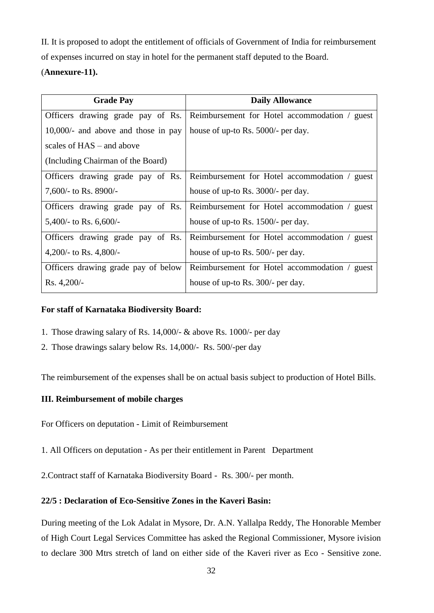II. It is proposed to adopt the entitlement of officials of Government of India for reimbursement

of expenses incurred on stay in hotel for the permanent staff deputed to the Board.

## (**Annexure-11).**

| <b>Grade Pay</b>                       | <b>Daily Allowance</b>                        |
|----------------------------------------|-----------------------------------------------|
| Officers drawing grade pay of Rs.      | Reimbursement for Hotel accommodation / guest |
| $10,000/$ - and above and those in pay | house of up-to Rs. 5000/- per day.            |
| scales of $HAS -$ and above            |                                               |
| (Including Chairman of the Board)      |                                               |
| Officers drawing grade pay of Rs.      | Reimbursement for Hotel accommodation / guest |
| 7,600/- to Rs. 8900/-                  | house of up-to Rs. 3000/- per day.            |
| Officers drawing grade pay of Rs.      | Reimbursement for Hotel accommodation / guest |
| 5,400/- to Rs. $6,600/$ -              | house of up-to Rs. 1500/- per day.            |
| Officers drawing grade pay of Rs.      | Reimbursement for Hotel accommodation / guest |
| 4,200/- to Rs. 4,800/-                 | house of up-to Rs. 500/- per day.             |
| Officers drawing grade pay of below    | Reimbursement for Hotel accommodation / guest |
| $Rs. 4,200/-$                          | house of up-to Rs. 300/- per day.             |

#### **For staff of Karnataka Biodiversity Board:**

- 1. Those drawing salary of Rs. 14,000/- & above Rs. 1000/- per day
- 2. Those drawings salary below Rs. 14,000/- Rs. 500/-per day

The reimbursement of the expenses shall be on actual basis subject to production of Hotel Bills.

### **III. Reimbursement of mobile charges**

For Officers on deputation - Limit of Reimbursement

1. All Officers on deputation - As per their entitlement in Parent Department

2.Contract staff of Karnataka Biodiversity Board - Rs. 300/- per month.

### **22/5 : Declaration of Eco-Sensitive Zones in the Kaveri Basin:**

During meeting of the Lok Adalat in Mysore, Dr. A.N. Yallalpa Reddy, The Honorable Member of High Court Legal Services Committee has asked the Regional Commissioner, Mysore ivision to declare 300 Mtrs stretch of land on either side of the Kaveri river as Eco - Sensitive zone.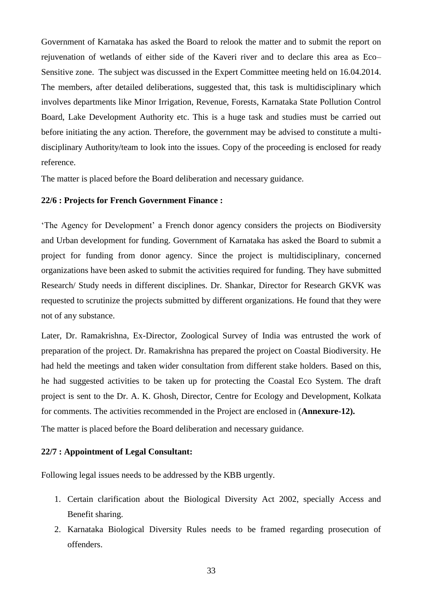Government of Karnataka has asked the Board to relook the matter and to submit the report on rejuvenation of wetlands of either side of the Kaveri river and to declare this area as Eco– Sensitive zone. The subject was discussed in the Expert Committee meeting held on 16.04.2014. The members, after detailed deliberations, suggested that, this task is multidisciplinary which involves departments like Minor Irrigation, Revenue, Forests, Karnataka State Pollution Control Board, Lake Development Authority etc. This is a huge task and studies must be carried out before initiating the any action. Therefore, the government may be advised to constitute a multidisciplinary Authority/team to look into the issues. Copy of the proceeding is enclosed for ready reference.

The matter is placed before the Board deliberation and necessary guidance.

#### **22/6 : Projects for French Government Finance :**

'The Agency for Development' a French donor agency considers the projects on Biodiversity and Urban development for funding. Government of Karnataka has asked the Board to submit a project for funding from donor agency. Since the project is multidisciplinary, concerned organizations have been asked to submit the activities required for funding. They have submitted Research/ Study needs in different disciplines. Dr. Shankar, Director for Research GKVK was requested to scrutinize the projects submitted by different organizations. He found that they were not of any substance.

Later, Dr. Ramakrishna, Ex-Director, Zoological Survey of India was entrusted the work of preparation of the project. Dr. Ramakrishna has prepared the project on Coastal Biodiversity. He had held the meetings and taken wider consultation from different stake holders. Based on this, he had suggested activities to be taken up for protecting the Coastal Eco System. The draft project is sent to the Dr. A. K. Ghosh, Director, Centre for Ecology and Development, Kolkata for comments. The activities recommended in the Project are enclosed in (**Annexure-12).** 

The matter is placed before the Board deliberation and necessary guidance.

#### **22/7 : Appointment of Legal Consultant:**

Following legal issues needs to be addressed by the KBB urgently.

- 1. Certain clarification about the Biological Diversity Act 2002, specially Access and Benefit sharing.
- 2. Karnataka Biological Diversity Rules needs to be framed regarding prosecution of offenders.